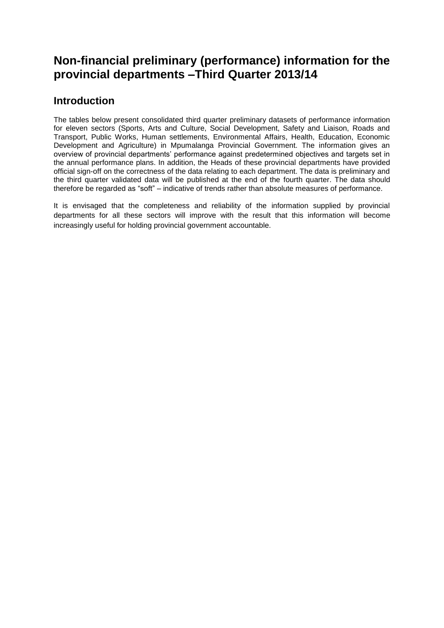# **Non-financial preliminary (performance) information for the provincial departments –Third Quarter 2013/14**

## **Introduction**

The tables below present consolidated third quarter preliminary datasets of performance information for eleven sectors (Sports, Arts and Culture, Social Development, Safety and Liaison, Roads and Transport, Public Works, Human settlements, Environmental Affairs, Health, Education, Economic Development and Agriculture) in Mpumalanga Provincial Government. The information gives an overview of provincial departments' performance against predetermined objectives and targets set in the annual performance plans. In addition, the Heads of these provincial departments have provided official sign-off on the correctness of the data relating to each department. The data is preliminary and the third quarter validated data will be published at the end of the fourth quarter. The data should therefore be regarded as "soft" – indicative of trends rather than absolute measures of performance.

It is envisaged that the completeness and reliability of the information supplied by provincial departments for all these sectors will improve with the result that this information will become increasingly useful for holding provincial government accountable.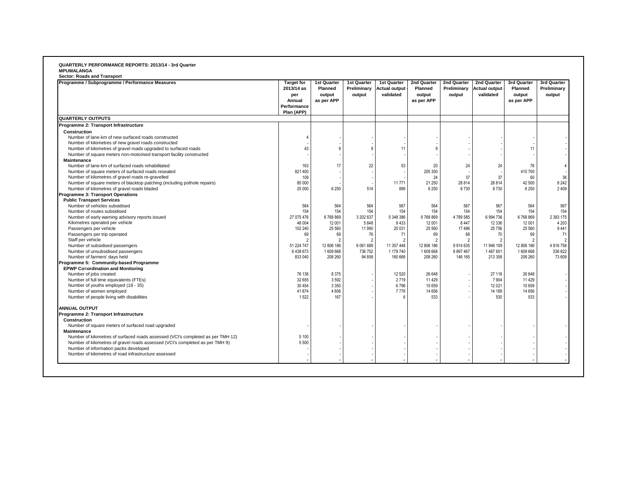#### **QUARTERLY PERFORMANCE REPORTS: 2013/14 - 3rd Quarter MPUMALANGA**

| Programme / Subprogramme / Performance Measures                                 | <b>Target for</b> | 1st Quarter  | 1st Quarter    | 1st Quarter          | 2nd Quarter  | 2nd Quarter   | 2nd Quarter          | 3rd Quarter    | 3rd Quarter |
|---------------------------------------------------------------------------------|-------------------|--------------|----------------|----------------------|--------------|---------------|----------------------|----------------|-------------|
|                                                                                 | 2013/14 as        | Planned      | Preliminary    | <b>Actual output</b> | Planned      | Preliminary   | <b>Actual output</b> | Planned        | Preliminary |
|                                                                                 | per               | output       | output         | validated            | output       | output        | validated            | output         | output      |
|                                                                                 | Annual            | as per APP   |                |                      | as per APP   |               |                      | as per APP     |             |
|                                                                                 | Performance       |              |                |                      |              |               |                      |                |             |
|                                                                                 | Plan (APP)        |              |                |                      |              |               |                      |                |             |
| <b>QUARTERLY OUTPUTS</b>                                                        |                   |              |                |                      |              |               |                      |                |             |
| Programme 2: Transport Infrastructure                                           |                   |              |                |                      |              |               |                      |                |             |
| Construction                                                                    |                   |              |                |                      |              |               |                      |                |             |
| Number of lane-km of new surfaced roads constructed                             |                   |              |                |                      |              |               |                      |                |             |
| Number of kilometres of new gravel roads constructed                            |                   |              |                |                      |              |               |                      |                |             |
| Number of kilometres of gravel roads upgraded to surfaced roads                 | 43                | $\mathbf{Q}$ | 9              | 11                   | $\mathbf{Q}$ |               |                      | 11             |             |
| Number of square meters non-motorised transport facility constructed            |                   |              |                |                      |              |               |                      |                |             |
| <b>Maintenance</b>                                                              |                   |              |                |                      |              |               |                      |                |             |
| Number of lane-km of surfaced roads rehabilitated                               | 163               | 17           | 22             | 53                   | 20           | 24            | 24                   | 76             |             |
| Number of square meters of surfaced roads resealed                              | 821 400           |              |                |                      | 205 350      |               |                      | 410 700        |             |
| Number of kilometres of gravel roads re-gravelled                               | 109               |              |                |                      | 24           | 37            | 37                   | 60             | 36          |
| Number of square meters of blacktop patching (including pothole repairs)        | 85 000            |              |                | 11771                | 21 250       | 28 8 14       | 28 8 14              | 42 500         | 8 2 4 2     |
| Number of kilometres of gravel roads bladed                                     | 25 000            | 6 2 5 0      | 514            | 899                  | 6 2 5 0      | 8730          | 8730                 | 6 2 5 0        | 2 4 0 9     |
| Programme 3: Transport Operations                                               |                   |              |                |                      |              |               |                      |                |             |
| <b>Public Transport Services</b>                                                |                   |              |                |                      |              |               |                      |                |             |
| Number of vehicles subsidised                                                   | 564               | 564          | 564            | 567                  | 564          | 567           | 567                  | 564            | 567         |
| Number of routes subsidised                                                     | 154               | 154          | 154            | 154                  | 154          | 154           | 154                  | 154            | 154         |
| Number of early warning advisory reports issued                                 | 27 075 476        | 6768869      | 3 202 637      | 5 348 386            | 6768869      | 4789585       | 6 994 736            | 6768869        | 2 383 175   |
| Kilometres operated per vehicle                                                 | 48 004            | 12 001       | 5 6 4 8        | 9433                 | 12 001       | 8 4 4 7       | 12 3 36              | 12 001         | 4 2 0 3     |
| Passengers per vehicle                                                          | 102 240           | 25 5 60      | 11 990         | 20 031               | 25 560       | 17486         | 25 7 56              | 25 560         | 9441        |
| Passengers per trip operated                                                    | 69                | 69           | 76             | 71                   | 69           | 68            | 70                   | 69             | 71          |
| Staff per vehicle                                                               |                   |              | $\overline{2}$ | $\overline{2}$       | 2            | $\mathcal{P}$ |                      | $\overline{2}$ |             |
| Number of subsidised passengers                                                 | 51 224 747        | 12 806 186   | 6 061 689      | 11 357 448           | 12 806 186   | 9914635       | 11 946 109           | 12 806 186     | 4 816 758   |
| Number of unsubsidised passengers                                               | 6438673           | 1609668      | 736 752        | 1 179 740            | 1609668      | 8 8 9 7 4 6 7 | 1487601              | 1609668        | 536 622     |
| Number of farmers' days held                                                    | 833 040           | 208 260      | 94 858         | 160 666              | 208 260      | 146 165       | 213 358              | 208 260        | 73 609      |
| Programme 5: Community-based Programme                                          |                   |              |                |                      |              |               |                      |                |             |
| <b>EPWP Co=ordination and Monitoring</b>                                        |                   |              |                |                      |              |               |                      |                |             |
| Number of jobs created                                                          | 76 136            | 8375         |                | 12 5 20              | 26 648       |               | 27 118               | 26 648         |             |
| Number of full time equivalents (FTEs)                                          | 32 655            | 3592         |                | 2719                 | 11 4 29      |               | 7 9 0 4              | 11 4 29        |             |
| Number of youths employed (18 - 35)                                             | 30 454            | 3 3 5 0      |                | 6796                 | 10 659       |               | 12 0 21              | 10 659         |             |
| Number of women employed                                                        | 41874             | 4 6 0 6      |                | 7776                 | 14 656       |               | 14 169               | 14 656         |             |
| Number of people living with disabilities                                       | 1522              | 167          |                | 6                    | 533          |               | 530                  | 533            |             |
| <b>ANNUAL OUTPUT</b>                                                            |                   |              |                |                      |              |               |                      |                |             |
| Programme 2: Transport Infrastructure                                           |                   |              |                |                      |              |               |                      |                |             |
| Construction                                                                    |                   |              |                |                      |              |               |                      |                |             |
| Number of square meters of surfaced road upgraded                               |                   |              |                |                      |              |               |                      |                |             |
| <b>Maintenance</b>                                                              |                   |              |                |                      |              |               |                      |                |             |
| Number of kilometres of surfaced roads assessed (VCI's completed as per TMH 12) | 5 100             |              |                |                      |              |               |                      |                |             |
| Number of kilometres of gravel roads assessed (VCI's completed as per TMH 9)    | 5 500             |              |                |                      |              |               |                      |                |             |
| Number of information packs developed                                           |                   |              |                |                      |              |               |                      |                |             |
| Number of kilometres of road infrastructure assessed                            |                   |              |                |                      |              |               |                      |                |             |
|                                                                                 |                   |              |                |                      |              |               |                      |                |             |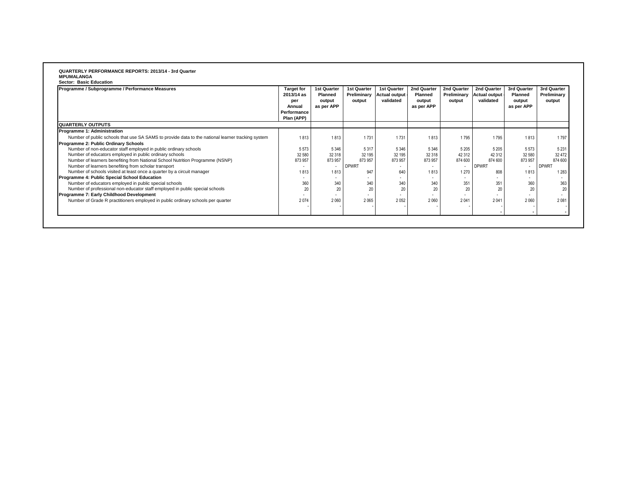# **QUARTERLY PERFORMANCE REPORTS: 2013/14 - 3rd Quarter MPUMALANGA Sector: Basic Education**

| Programme / Subprogramme / Performance Measures                                                   | <b>Target for</b><br>2013/14 as<br>per<br>Annual<br>Performance<br>Plan (APP) | 1st Quarter<br><b>Planned</b><br>output<br>as per APP | <b>1st Quarter</b><br>Preliminary<br>output | 1st Quarter<br>Actual output<br>validated | 2nd Quarter<br><b>Planned</b><br>output<br>as per APP | 2nd Quarter<br>Preliminary<br>output | 2nd Quarter<br><b>Actual output</b><br>validated | 3rd Quarter<br><b>Planned</b><br>output<br>as per APP | 3rd Quarter<br>Preliminary<br>output |
|---------------------------------------------------------------------------------------------------|-------------------------------------------------------------------------------|-------------------------------------------------------|---------------------------------------------|-------------------------------------------|-------------------------------------------------------|--------------------------------------|--------------------------------------------------|-------------------------------------------------------|--------------------------------------|
| <b>QUARTERLY OUTPUTS</b>                                                                          |                                                                               |                                                       |                                             |                                           |                                                       |                                      |                                                  |                                                       |                                      |
| <b>Programme 1: Administration</b>                                                                |                                                                               |                                                       |                                             |                                           |                                                       |                                      |                                                  |                                                       |                                      |
| Number of public schools that use SA SAMS to provide data to the national learner tracking system | 1813                                                                          | 1813                                                  | 1731                                        | 1731                                      | 1813                                                  | 1795                                 | 1795                                             | 1813                                                  | 1797                                 |
| Programme 2: Public Ordinary Schools                                                              |                                                                               |                                                       |                                             |                                           |                                                       |                                      |                                                  |                                                       |                                      |
| Number of non-educator staff employed in public ordinary schools                                  | 5 5 7 3                                                                       | 5 3 4 6                                               | 5317                                        | 5 3 4 6                                   | 5 3 4 6                                               | 5 2 0 5                              | 5 2 0 5                                          | 5573                                                  | 5 2 3 1                              |
| Number of educators employed in public ordinary schools                                           | 32 580                                                                        | 32 318                                                | 32 195                                      | 32 195                                    | 32 318                                                | 42 312                               | 42 312                                           | 32 580                                                | 32 472                               |
| Number of learners benefiting from National School Nutrition Programme (NSNP)                     | 873 957                                                                       | 873 957                                               | 873 957                                     | 873 957                                   | 873 957                                               | 874 600                              | 874 600                                          | 873957                                                | 874 600                              |
| Number of learners benefiting from scholar transport                                              |                                                                               |                                                       | <b>DPWRT</b>                                |                                           |                                                       |                                      | <b>DPWRT</b>                                     |                                                       | <b>DPWRT</b>                         |
| Number of schools visited at least once a quarter by a circuit manager                            | 1813                                                                          | 1813                                                  | 947                                         | 640                                       | 1813                                                  | 1 2 7 0                              | 808                                              | 1813                                                  | 1 2 8 3                              |
| Programme 4: Public Special School Education                                                      |                                                                               | . .                                                   |                                             |                                           | $\sim$                                                |                                      |                                                  |                                                       |                                      |
| Number of educators employed in public special schools                                            | 360                                                                           | 340                                                   | 340                                         | 340                                       | 340                                                   | 351                                  | 351                                              | 360                                                   | 363                                  |
| Number of professional non-educator staff employed in public special schools                      | 20                                                                            | 20                                                    | 20                                          | 20                                        | 20                                                    | 20                                   | 20                                               | 20                                                    | 20                                   |
| Programme 7: Early Childhood Development                                                          |                                                                               |                                                       |                                             |                                           |                                                       |                                      |                                                  |                                                       |                                      |
| Number of Grade R practitioners employed in public ordinary schools per quarter                   | 2074                                                                          | 2060                                                  | 2065                                        | 2052                                      | 2 0 6 0                                               | 2041                                 | 2 0 4 1                                          | 2060                                                  | 2081                                 |
|                                                                                                   |                                                                               |                                                       |                                             |                                           |                                                       |                                      |                                                  |                                                       |                                      |
|                                                                                                   |                                                                               |                                                       |                                             |                                           |                                                       |                                      |                                                  |                                                       |                                      |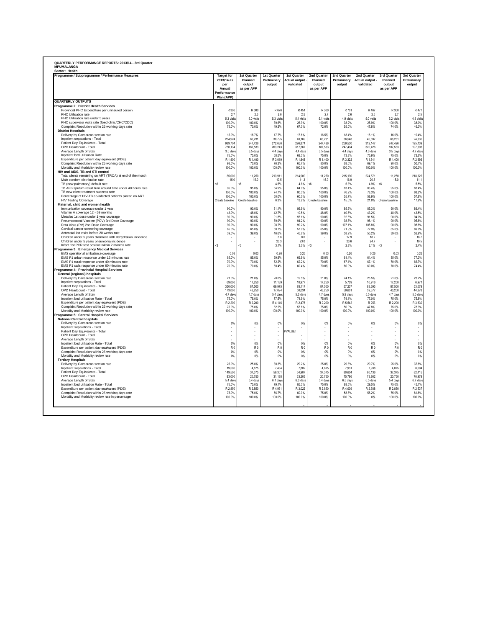| <b>QUARTERLY OUTPUTS</b><br>Programme 2: District Health Services<br>Provincial PHC Expenditure per uninsured person<br>R 467<br>R 300<br>R 300<br>R 676<br>R451<br>R 300<br>R 701<br>R 300<br>PHC Utilisation rate<br>2.7<br>2.6<br>2.6<br>2.5<br>2.7<br>2.6<br>2.6<br>2.7<br>5.3 visits<br>5.3 visits<br>5.4 visits<br>4.9 visits<br>5.0 visits<br>5.2 visits<br>PHC Utilisation rate under 5 years<br>50 visits<br>5.1 visits<br>PHC supervisor visits rate (fixed clinic/CHC/CDC)<br>100.0%<br>100.0%<br>39.6%<br>26.9%<br>100.0%<br>25.9%<br>100.0%<br>38.2%<br>Complaint Resolution within 25 working days rate<br>75.0%<br>70.0%<br>49.3%<br>67.0%<br>72.0%<br>55.0%<br>47.8%<br>74.0%<br><b>District Hospitals</b><br>Delivery by Caesarean section rate<br>15.0%<br>16.7%<br>17.7%<br>17.6%<br>16.5%<br>18.4%<br>18.1%<br>16.0%<br>19.4%<br>40,169<br>66,231<br>36,548<br>66,231<br>Inpatient separations - Total<br>264,924<br>66,231<br>38,795<br>40.697<br>Patient Day Equivalents - Total<br>989,704<br>247,426<br>272,636<br>296,874<br>247,426<br>259,530<br>312,147<br>247,426<br>263.243<br>187.533<br>247.494<br>320.426<br>187.533<br>OPD Headcount - Total<br>750.134<br>187,533<br>317.367<br>Average Length of Stay<br>3.5 days<br>3.5 days<br>4.4 days<br>4.4 days<br>3.5 days<br>4.4 days<br>4.6 days<br>3.5 days<br>Inpatient bed utilisation Rate<br>75.9%<br>75.0%<br>75.0%<br>68.5%<br>68.3%<br>75.0%<br>73.8%<br>75.0%<br>Expenditure per patient day equivalent (PDE)<br>R 1,400<br>R 1,400<br>R 3,019<br>R 1,848<br>R 1,400<br>R 3,322<br>R 1,841<br>R 1,400<br>Complaint Resolution within 25 working days rate<br>93.0%<br>70.0%<br>65.7%<br>80.0%<br>90.0%<br>76.3%<br>68.0%<br>69 1%<br>Mortality and Morbidity review rate<br>100.0%<br>100.0%<br>100.0%<br>100.0%<br>100.0%<br>100.0%<br>100.0%<br>100.0%<br>HIV and AIDS, TB and STI control<br>Total clients remaining on ART (TROA) at end of the month<br>35,000<br>11,250<br>213,911<br>214,909<br>11,250<br>215,190<br>11,250<br>224,871<br>Male condom distribution rate<br>15.0<br>15.0<br>10.5<br>11.3<br>15.0<br>16.9<br>20.6<br>15.0<br>56<br><6<br>< 6<br><6<br>4.5%<br>5.3%<br>4.9%<br>TB (new pulmonary) default rate<br>48%<br>TB AFB sputum result turn around time under 48 hours rate<br>95.0%<br>95.0%<br>64.9%<br>64.9%<br>95.0%<br>83.4%<br>83.4%<br>95.0%<br>100.0%<br>68.2%<br>TB new client treatment success rate<br>100.0%<br>100.0%<br>74 7%<br>80.3%<br>100.0%<br>76.2%<br>78.3%<br>Percentage of HIV-TB co-infected patients placed on ART<br>100.0%<br>100.0%<br>60.0%<br>60.0%<br>100.0%<br>58.9%<br>100.0%<br>57.8%<br>55.7%<br><b>HIV Testing Coverage</b><br>Create baseline<br>Create baseline<br>Create baseline<br>17.9%<br>Create baseline<br>6.3%<br>13.2%<br>15.6%<br>21.8%<br>Maternal, child and women health<br>Immunization coverage under 1 year<br>90.0%<br>90.0%<br>81.1%<br>86.9%<br>90.0%<br>85.6%<br>85.3%<br>90.0%<br>Vitamin A coverage 12 - 59 months<br>10.5%<br>43.2%<br>48.0%<br>48.0%<br>42.7%<br>48.0%<br>40.6%<br>48.0%<br>43.5%<br>Measles 1st dose under 1 year coverage<br>90.0%<br>90.0%<br>91.8%<br>97.1%<br>90.0%<br>92.5%<br>91.5%<br>90.0%<br>90.0%<br>89.9%<br>90.0%<br>94 2%<br>90.0%<br>98.8%<br>90.0%<br>Pneumococcal Vaccine (PCV) 3rd Dose Coverage<br>98 1%<br>Rota Virus (RV) 2nd Dose Coverage<br>90.0%<br>90.0%<br>98.7%<br>99.2%<br>90.0%<br>107.1%<br>105.8%<br>90.0%<br>Cervical cancer screening coverage<br>65.0%<br>65.0%<br>58.7%<br>57.0%<br>65.0%<br>71.9%<br>72.9%<br>65.0%<br>Antenatal 1st visits before 20 weeks rate<br>39.0%<br>39.0%<br>46.6%<br>45.6%<br>39.0%<br>58.9%<br>50.2%<br>39.0%<br>Children under 5 years diarrhoea with dehydration incidence<br>6.8<br>8.0<br>17.9<br>18.2<br>Children under 5 years pneumonia incidence<br>23.3<br>23.0<br>23.6<br>24.7<br>÷<br>٠<br>÷<br>٠<br>Infant 1st PCR test positive within 2 months rate<br>$3$<br>⊲<br>$\triangleleft$<br><3<br>3.1%<br>3.0%<br>2.8%<br>2.1%<br>Programme 3: Emergency Medical Services<br>EMS operational ambulance coverage<br>0.03<br>0.03<br>0.26<br>0.26<br>0.03<br>0.26<br>0.26<br>0.03<br>85.0%<br>85.0%<br>61.4%<br>85.0%<br>77.3%<br>85.0%<br>69.9%<br>69.9%<br>61 4%<br>EMS P1 urban response under 15 minutes rate<br>EMS P1 rural response under 40 minutes rate<br>70.0%<br>70.0%<br>62.2%<br>62.2%<br>70.0%<br>67.1%<br>67.1%<br>70.0%<br>66.7%<br>EMS P1 calls response under 60 minutes rate<br>70.0%<br>70.0%<br>60.4%<br>60.4%<br>70.0%<br>60.0%<br>70.0%<br>74.4%<br>60.0%<br>Programme 4: Provincial Hospital Services<br>General (regional) hospitals<br>Delivery by Caesarean section rate<br>21.0%<br>21.0%<br>20.6%<br>19.5%<br>21.0%<br>24 1%<br>25.5%<br>21.0%<br>10,977<br>17,250<br>Inpatient separations - Total<br>69,000<br>17,250<br>11,139<br>17,250<br>5,709<br>10 916<br>87.500<br>350,000<br>87,500<br>69.975<br>78 117<br>57 237<br>83 693<br>87,500<br>Patient Day Fouivalents - Total<br>OPD Headcount - Total<br>173,000<br>43,250<br>17,094<br>50,034<br>43,250<br>59,601<br>59,377<br>43,250<br>Average Length of Stay<br>4.7 days<br>4.7 days<br>4.7 days<br>4.7 days<br>54 days<br>5.3 days<br>5.9 days<br>5.5 days<br>Inpatient bed utilisation Rate - Total<br>75.0%<br>75.0%<br>77.5%<br>74.9%<br>75.0%<br>74.1%<br>77.0%<br>75.0%<br>Expenditure per patient day equivalent (PDE)<br>R 2.200<br>R 2.200<br>R 4.146<br>R 2.476<br>R 2.200<br>R 2.200<br>R 5 5 4 2<br>R 253<br>Complaint Resolution within 25 working days rate<br>75.0%<br>75.0%<br>62.2%<br>57.6%<br>75.0%<br>50.0%<br>47.8%<br>75.0%<br>Mortality and Morbidity review rate<br>100.0%<br>100.0%<br>100.0%<br>100.0%<br>100.0%<br>100.0%<br>100.0%<br>100.0%<br>Programme 5: Central Hospital Services<br><b>National Central hospitals</b><br>0%<br>0%<br>0%<br>0%<br>0%<br>Delivery by Caesarean section rate<br>0%<br>0%<br>0%<br>Inpatient separations - Total<br>Patient Day Equivalents - Total<br>#VALUE!<br>٠<br>٠<br>٠<br>٠<br>OPD Headcount - Total<br>×,<br>×,<br>×,<br>Average Length of Stay<br>0%<br>0%<br>0%<br>0%<br>0%<br>0%<br>0%<br>Inpatient bed utilisation Rate - Total<br>0%<br>Expenditure per patient day equivalent (PDE)<br>R <sub>0</sub><br>R <sub>0</sub><br>R <sub>0</sub><br>R <sub>0</sub><br>R <sub>0</sub><br>R <sub>0</sub><br>R <sub>0</sub><br>R <sub>0</sub><br>Complaint Resolution within 25 working days rate<br>0%<br>0%<br>0%<br>0%<br>n%<br>0%<br>0%<br>0%<br>Mortality and Morbidity review rate<br>0%<br>0%<br>0%<br>0%<br>0%<br>0%<br>0%<br>0%<br><b>Tertiary Hospitals</b><br>Delivery by Caesarean section rate<br>25.0%<br>25.0%<br>30.3%<br>29.2%<br>25.0%<br>29.8%<br>29.7%<br>25.0%<br>Inpatient separations - Total<br>19,500<br>4.875<br>7.484<br>7.882<br>4.875<br>4.875<br>7931<br>7938<br>Patient Day Equivalents - Total<br>149.500<br>37.375<br>59.301<br>64.907<br>37.375<br>80.604<br>80.136<br>37.375<br>73,862<br>20,750<br>OPD Headcount - Total<br>83,000<br>20,750<br>31,188<br>33,203<br>20,750<br>75,786<br>Average Length of Stay<br>6.5 days<br>5.4 days<br>5.4 days<br>6.1 days<br>6.3 days<br>5.4 days<br>6.5 days<br>5.4 days<br>Inpatient bed utilisation Rate - Total<br>75.0%<br>75.0%<br>79.1%<br>85.3%<br>75.0%<br>88.5%<br>29.5%<br>75.0%<br>Expenditure per patient day equivalent (PDF)<br>R 2850<br>R 2850<br>R 4 961<br>R 3 022<br>R 2.850<br>R 4 009<br>R 2 688<br>R 2850<br>Complaint Resolution within 25 working days rate<br>75.0%<br>75.0%<br>66.7%<br>60.0%<br>75.0%<br>58.8%<br>58.2%<br>75.0%<br>Mortality and Morbidity review rate in percentage<br>100.0%<br>100.0%<br>100.0%<br>100.0%<br>100.0%<br>100.0%<br>0%<br>100.0% | Programme / Subprogramme / Performance Measures | <b>Target for</b><br>2013/14 as<br>per<br>Annual<br>Performance<br>Plan (APP) | 1st Quarter<br>Planned<br>output<br>as per APP | 1st Quarter<br>Preliminary<br>output | 1st Quarter<br><b>Actual output</b><br>validated | 2nd Quarter<br>Planned<br>output<br>as per APP | 2nd Quarter<br>Preliminary<br>output | 2nd Quarter<br><b>Actual output</b><br>validated | 3rd Quarter<br>Planned<br>output<br>as per APP | 3rd Quarter<br>Preliminary<br>output |
|-------------------------------------------------------------------------------------------------------------------------------------------------------------------------------------------------------------------------------------------------------------------------------------------------------------------------------------------------------------------------------------------------------------------------------------------------------------------------------------------------------------------------------------------------------------------------------------------------------------------------------------------------------------------------------------------------------------------------------------------------------------------------------------------------------------------------------------------------------------------------------------------------------------------------------------------------------------------------------------------------------------------------------------------------------------------------------------------------------------------------------------------------------------------------------------------------------------------------------------------------------------------------------------------------------------------------------------------------------------------------------------------------------------------------------------------------------------------------------------------------------------------------------------------------------------------------------------------------------------------------------------------------------------------------------------------------------------------------------------------------------------------------------------------------------------------------------------------------------------------------------------------------------------------------------------------------------------------------------------------------------------------------------------------------------------------------------------------------------------------------------------------------------------------------------------------------------------------------------------------------------------------------------------------------------------------------------------------------------------------------------------------------------------------------------------------------------------------------------------------------------------------------------------------------------------------------------------------------------------------------------------------------------------------------------------------------------------------------------------------------------------------------------------------------------------------------------------------------------------------------------------------------------------------------------------------------------------------------------------------------------------------------------------------------------------------------------------------------------------------------------------------------------------------------------------------------------------------------------------------------------------------------------------------------------------------------------------------------------------------------------------------------------------------------------------------------------------------------------------------------------------------------------------------------------------------------------------------------------------------------------------------------------------------------------------------------------------------------------------------------------------------------------------------------------------------------------------------------------------------------------------------------------------------------------------------------------------------------------------------------------------------------------------------------------------------------------------------------------------------------------------------------------------------------------------------------------------------------------------------------------------------------------------------------------------------------------------------------------------------------------------------------------------------------------------------------------------------------------------------------------------------------------------------------------------------------------------------------------------------------------------------------------------------------------------------------------------------------------------------------------------------------------------------------------------------------------------------------------------------------------------------------------------------------------------------------------------------------------------------------------------------------------------------------------------------------------------------------------------------------------------------------------------------------------------------------------------------------------------------------------------------------------------------------------------------------------------------------------------------------------------------------------------------------------------------------------------------------------------------------------------------------------------------------------------------------------------------------------------------------------------------------------------------------------------------------------------------------------------------------------------------------------------------------------------------------------------------------------------------------------------------------------------------------------------------------------------------------------------------------------------------------------------------------------------------------------------------------------------------------------------------------------------------------------------------------------------------------------------------------------------------------------------------------------------------------------------------------------------------------------------------------------------------------------------------------------------------------------------------------------------------------------------------------------------------------------------------------------------------------------------------------------------------------------------------------------------------------------------------------------------------------------------------------------------------------------------------------------------------------------------------------------------------------------------------------------------------------------------------------------------------------------------------------------------------------------------------------------------------------------------------------------------------------------------------------------------------------------------------------------------------------------------------------------------------------------------------------------------------------------------------------------------------------------------------------------------------------------------------------------------------------------------------------------------------------------------------------------------------------------------------------------------------------------------------------------|-------------------------------------------------|-------------------------------------------------------------------------------|------------------------------------------------|--------------------------------------|--------------------------------------------------|------------------------------------------------|--------------------------------------|--------------------------------------------------|------------------------------------------------|--------------------------------------|
|                                                                                                                                                                                                                                                                                                                                                                                                                                                                                                                                                                                                                                                                                                                                                                                                                                                                                                                                                                                                                                                                                                                                                                                                                                                                                                                                                                                                                                                                                                                                                                                                                                                                                                                                                                                                                                                                                                                                                                                                                                                                                                                                                                                                                                                                                                                                                                                                                                                                                                                                                                                                                                                                                                                                                                                                                                                                                                                                                                                                                                                                                                                                                                                                                                                                                                                                                                                                                                                                                                                                                                                                                                                                                                                                                                                                                                                                                                                                                                                                                                                                                                                                                                                                                                                                                                                                                                                                                                                                                                                                                                                                                                                                                                                                                                                                                                                                                                                                                                                                                                                                                                                                                                                                                                                                                                                                                                                                                                                                                                                                                                                                                                                                                                                                                                                                                                                                                                                                                                                                                                                                                                                                                                                                                                                                                                                                                                                                                                                                                                                                                                                                                                                                                                                                                                                                                                                                                                                                                                                                                                                                                                                                                                                                                                                                                                                                                                                                                                                                                                                                                                                                                                                                                                       |                                                 |                                                                               |                                                |                                      |                                                  |                                                |                                      |                                                  |                                                |                                      |
|                                                                                                                                                                                                                                                                                                                                                                                                                                                                                                                                                                                                                                                                                                                                                                                                                                                                                                                                                                                                                                                                                                                                                                                                                                                                                                                                                                                                                                                                                                                                                                                                                                                                                                                                                                                                                                                                                                                                                                                                                                                                                                                                                                                                                                                                                                                                                                                                                                                                                                                                                                                                                                                                                                                                                                                                                                                                                                                                                                                                                                                                                                                                                                                                                                                                                                                                                                                                                                                                                                                                                                                                                                                                                                                                                                                                                                                                                                                                                                                                                                                                                                                                                                                                                                                                                                                                                                                                                                                                                                                                                                                                                                                                                                                                                                                                                                                                                                                                                                                                                                                                                                                                                                                                                                                                                                                                                                                                                                                                                                                                                                                                                                                                                                                                                                                                                                                                                                                                                                                                                                                                                                                                                                                                                                                                                                                                                                                                                                                                                                                                                                                                                                                                                                                                                                                                                                                                                                                                                                                                                                                                                                                                                                                                                                                                                                                                                                                                                                                                                                                                                                                                                                                                                                       |                                                 |                                                                               |                                                |                                      |                                                  |                                                |                                      |                                                  |                                                |                                      |
|                                                                                                                                                                                                                                                                                                                                                                                                                                                                                                                                                                                                                                                                                                                                                                                                                                                                                                                                                                                                                                                                                                                                                                                                                                                                                                                                                                                                                                                                                                                                                                                                                                                                                                                                                                                                                                                                                                                                                                                                                                                                                                                                                                                                                                                                                                                                                                                                                                                                                                                                                                                                                                                                                                                                                                                                                                                                                                                                                                                                                                                                                                                                                                                                                                                                                                                                                                                                                                                                                                                                                                                                                                                                                                                                                                                                                                                                                                                                                                                                                                                                                                                                                                                                                                                                                                                                                                                                                                                                                                                                                                                                                                                                                                                                                                                                                                                                                                                                                                                                                                                                                                                                                                                                                                                                                                                                                                                                                                                                                                                                                                                                                                                                                                                                                                                                                                                                                                                                                                                                                                                                                                                                                                                                                                                                                                                                                                                                                                                                                                                                                                                                                                                                                                                                                                                                                                                                                                                                                                                                                                                                                                                                                                                                                                                                                                                                                                                                                                                                                                                                                                                                                                                                                                       |                                                 |                                                                               |                                                |                                      |                                                  |                                                |                                      |                                                  |                                                | R 477                                |
|                                                                                                                                                                                                                                                                                                                                                                                                                                                                                                                                                                                                                                                                                                                                                                                                                                                                                                                                                                                                                                                                                                                                                                                                                                                                                                                                                                                                                                                                                                                                                                                                                                                                                                                                                                                                                                                                                                                                                                                                                                                                                                                                                                                                                                                                                                                                                                                                                                                                                                                                                                                                                                                                                                                                                                                                                                                                                                                                                                                                                                                                                                                                                                                                                                                                                                                                                                                                                                                                                                                                                                                                                                                                                                                                                                                                                                                                                                                                                                                                                                                                                                                                                                                                                                                                                                                                                                                                                                                                                                                                                                                                                                                                                                                                                                                                                                                                                                                                                                                                                                                                                                                                                                                                                                                                                                                                                                                                                                                                                                                                                                                                                                                                                                                                                                                                                                                                                                                                                                                                                                                                                                                                                                                                                                                                                                                                                                                                                                                                                                                                                                                                                                                                                                                                                                                                                                                                                                                                                                                                                                                                                                                                                                                                                                                                                                                                                                                                                                                                                                                                                                                                                                                                                                       |                                                 |                                                                               |                                                |                                      |                                                  |                                                |                                      |                                                  |                                                | 2.5                                  |
|                                                                                                                                                                                                                                                                                                                                                                                                                                                                                                                                                                                                                                                                                                                                                                                                                                                                                                                                                                                                                                                                                                                                                                                                                                                                                                                                                                                                                                                                                                                                                                                                                                                                                                                                                                                                                                                                                                                                                                                                                                                                                                                                                                                                                                                                                                                                                                                                                                                                                                                                                                                                                                                                                                                                                                                                                                                                                                                                                                                                                                                                                                                                                                                                                                                                                                                                                                                                                                                                                                                                                                                                                                                                                                                                                                                                                                                                                                                                                                                                                                                                                                                                                                                                                                                                                                                                                                                                                                                                                                                                                                                                                                                                                                                                                                                                                                                                                                                                                                                                                                                                                                                                                                                                                                                                                                                                                                                                                                                                                                                                                                                                                                                                                                                                                                                                                                                                                                                                                                                                                                                                                                                                                                                                                                                                                                                                                                                                                                                                                                                                                                                                                                                                                                                                                                                                                                                                                                                                                                                                                                                                                                                                                                                                                                                                                                                                                                                                                                                                                                                                                                                                                                                                                                       |                                                 |                                                                               |                                                |                                      |                                                  |                                                |                                      |                                                  |                                                | 4 8 visits                           |
|                                                                                                                                                                                                                                                                                                                                                                                                                                                                                                                                                                                                                                                                                                                                                                                                                                                                                                                                                                                                                                                                                                                                                                                                                                                                                                                                                                                                                                                                                                                                                                                                                                                                                                                                                                                                                                                                                                                                                                                                                                                                                                                                                                                                                                                                                                                                                                                                                                                                                                                                                                                                                                                                                                                                                                                                                                                                                                                                                                                                                                                                                                                                                                                                                                                                                                                                                                                                                                                                                                                                                                                                                                                                                                                                                                                                                                                                                                                                                                                                                                                                                                                                                                                                                                                                                                                                                                                                                                                                                                                                                                                                                                                                                                                                                                                                                                                                                                                                                                                                                                                                                                                                                                                                                                                                                                                                                                                                                                                                                                                                                                                                                                                                                                                                                                                                                                                                                                                                                                                                                                                                                                                                                                                                                                                                                                                                                                                                                                                                                                                                                                                                                                                                                                                                                                                                                                                                                                                                                                                                                                                                                                                                                                                                                                                                                                                                                                                                                                                                                                                                                                                                                                                                                                       |                                                 |                                                                               |                                                |                                      |                                                  |                                                |                                      |                                                  |                                                | 38.0%                                |
|                                                                                                                                                                                                                                                                                                                                                                                                                                                                                                                                                                                                                                                                                                                                                                                                                                                                                                                                                                                                                                                                                                                                                                                                                                                                                                                                                                                                                                                                                                                                                                                                                                                                                                                                                                                                                                                                                                                                                                                                                                                                                                                                                                                                                                                                                                                                                                                                                                                                                                                                                                                                                                                                                                                                                                                                                                                                                                                                                                                                                                                                                                                                                                                                                                                                                                                                                                                                                                                                                                                                                                                                                                                                                                                                                                                                                                                                                                                                                                                                                                                                                                                                                                                                                                                                                                                                                                                                                                                                                                                                                                                                                                                                                                                                                                                                                                                                                                                                                                                                                                                                                                                                                                                                                                                                                                                                                                                                                                                                                                                                                                                                                                                                                                                                                                                                                                                                                                                                                                                                                                                                                                                                                                                                                                                                                                                                                                                                                                                                                                                                                                                                                                                                                                                                                                                                                                                                                                                                                                                                                                                                                                                                                                                                                                                                                                                                                                                                                                                                                                                                                                                                                                                                                                       |                                                 |                                                                               |                                                |                                      |                                                  |                                                |                                      |                                                  |                                                | 46.0%                                |
|                                                                                                                                                                                                                                                                                                                                                                                                                                                                                                                                                                                                                                                                                                                                                                                                                                                                                                                                                                                                                                                                                                                                                                                                                                                                                                                                                                                                                                                                                                                                                                                                                                                                                                                                                                                                                                                                                                                                                                                                                                                                                                                                                                                                                                                                                                                                                                                                                                                                                                                                                                                                                                                                                                                                                                                                                                                                                                                                                                                                                                                                                                                                                                                                                                                                                                                                                                                                                                                                                                                                                                                                                                                                                                                                                                                                                                                                                                                                                                                                                                                                                                                                                                                                                                                                                                                                                                                                                                                                                                                                                                                                                                                                                                                                                                                                                                                                                                                                                                                                                                                                                                                                                                                                                                                                                                                                                                                                                                                                                                                                                                                                                                                                                                                                                                                                                                                                                                                                                                                                                                                                                                                                                                                                                                                                                                                                                                                                                                                                                                                                                                                                                                                                                                                                                                                                                                                                                                                                                                                                                                                                                                                                                                                                                                                                                                                                                                                                                                                                                                                                                                                                                                                                                                       |                                                 |                                                                               |                                                |                                      |                                                  |                                                |                                      |                                                  |                                                |                                      |
|                                                                                                                                                                                                                                                                                                                                                                                                                                                                                                                                                                                                                                                                                                                                                                                                                                                                                                                                                                                                                                                                                                                                                                                                                                                                                                                                                                                                                                                                                                                                                                                                                                                                                                                                                                                                                                                                                                                                                                                                                                                                                                                                                                                                                                                                                                                                                                                                                                                                                                                                                                                                                                                                                                                                                                                                                                                                                                                                                                                                                                                                                                                                                                                                                                                                                                                                                                                                                                                                                                                                                                                                                                                                                                                                                                                                                                                                                                                                                                                                                                                                                                                                                                                                                                                                                                                                                                                                                                                                                                                                                                                                                                                                                                                                                                                                                                                                                                                                                                                                                                                                                                                                                                                                                                                                                                                                                                                                                                                                                                                                                                                                                                                                                                                                                                                                                                                                                                                                                                                                                                                                                                                                                                                                                                                                                                                                                                                                                                                                                                                                                                                                                                                                                                                                                                                                                                                                                                                                                                                                                                                                                                                                                                                                                                                                                                                                                                                                                                                                                                                                                                                                                                                                                                       |                                                 |                                                                               |                                                |                                      |                                                  |                                                |                                      |                                                  |                                                | 24.335                               |
|                                                                                                                                                                                                                                                                                                                                                                                                                                                                                                                                                                                                                                                                                                                                                                                                                                                                                                                                                                                                                                                                                                                                                                                                                                                                                                                                                                                                                                                                                                                                                                                                                                                                                                                                                                                                                                                                                                                                                                                                                                                                                                                                                                                                                                                                                                                                                                                                                                                                                                                                                                                                                                                                                                                                                                                                                                                                                                                                                                                                                                                                                                                                                                                                                                                                                                                                                                                                                                                                                                                                                                                                                                                                                                                                                                                                                                                                                                                                                                                                                                                                                                                                                                                                                                                                                                                                                                                                                                                                                                                                                                                                                                                                                                                                                                                                                                                                                                                                                                                                                                                                                                                                                                                                                                                                                                                                                                                                                                                                                                                                                                                                                                                                                                                                                                                                                                                                                                                                                                                                                                                                                                                                                                                                                                                                                                                                                                                                                                                                                                                                                                                                                                                                                                                                                                                                                                                                                                                                                                                                                                                                                                                                                                                                                                                                                                                                                                                                                                                                                                                                                                                                                                                                                                       |                                                 |                                                                               |                                                |                                      |                                                  |                                                |                                      |                                                  |                                                | 195,139                              |
|                                                                                                                                                                                                                                                                                                                                                                                                                                                                                                                                                                                                                                                                                                                                                                                                                                                                                                                                                                                                                                                                                                                                                                                                                                                                                                                                                                                                                                                                                                                                                                                                                                                                                                                                                                                                                                                                                                                                                                                                                                                                                                                                                                                                                                                                                                                                                                                                                                                                                                                                                                                                                                                                                                                                                                                                                                                                                                                                                                                                                                                                                                                                                                                                                                                                                                                                                                                                                                                                                                                                                                                                                                                                                                                                                                                                                                                                                                                                                                                                                                                                                                                                                                                                                                                                                                                                                                                                                                                                                                                                                                                                                                                                                                                                                                                                                                                                                                                                                                                                                                                                                                                                                                                                                                                                                                                                                                                                                                                                                                                                                                                                                                                                                                                                                                                                                                                                                                                                                                                                                                                                                                                                                                                                                                                                                                                                                                                                                                                                                                                                                                                                                                                                                                                                                                                                                                                                                                                                                                                                                                                                                                                                                                                                                                                                                                                                                                                                                                                                                                                                                                                                                                                                                                       |                                                 |                                                                               |                                                |                                      |                                                  |                                                |                                      |                                                  |                                                | 197.393                              |
|                                                                                                                                                                                                                                                                                                                                                                                                                                                                                                                                                                                                                                                                                                                                                                                                                                                                                                                                                                                                                                                                                                                                                                                                                                                                                                                                                                                                                                                                                                                                                                                                                                                                                                                                                                                                                                                                                                                                                                                                                                                                                                                                                                                                                                                                                                                                                                                                                                                                                                                                                                                                                                                                                                                                                                                                                                                                                                                                                                                                                                                                                                                                                                                                                                                                                                                                                                                                                                                                                                                                                                                                                                                                                                                                                                                                                                                                                                                                                                                                                                                                                                                                                                                                                                                                                                                                                                                                                                                                                                                                                                                                                                                                                                                                                                                                                                                                                                                                                                                                                                                                                                                                                                                                                                                                                                                                                                                                                                                                                                                                                                                                                                                                                                                                                                                                                                                                                                                                                                                                                                                                                                                                                                                                                                                                                                                                                                                                                                                                                                                                                                                                                                                                                                                                                                                                                                                                                                                                                                                                                                                                                                                                                                                                                                                                                                                                                                                                                                                                                                                                                                                                                                                                                                       |                                                 |                                                                               |                                                |                                      |                                                  |                                                |                                      |                                                  |                                                | 4.7 days                             |
|                                                                                                                                                                                                                                                                                                                                                                                                                                                                                                                                                                                                                                                                                                                                                                                                                                                                                                                                                                                                                                                                                                                                                                                                                                                                                                                                                                                                                                                                                                                                                                                                                                                                                                                                                                                                                                                                                                                                                                                                                                                                                                                                                                                                                                                                                                                                                                                                                                                                                                                                                                                                                                                                                                                                                                                                                                                                                                                                                                                                                                                                                                                                                                                                                                                                                                                                                                                                                                                                                                                                                                                                                                                                                                                                                                                                                                                                                                                                                                                                                                                                                                                                                                                                                                                                                                                                                                                                                                                                                                                                                                                                                                                                                                                                                                                                                                                                                                                                                                                                                                                                                                                                                                                                                                                                                                                                                                                                                                                                                                                                                                                                                                                                                                                                                                                                                                                                                                                                                                                                                                                                                                                                                                                                                                                                                                                                                                                                                                                                                                                                                                                                                                                                                                                                                                                                                                                                                                                                                                                                                                                                                                                                                                                                                                                                                                                                                                                                                                                                                                                                                                                                                                                                                                       |                                                 |                                                                               |                                                |                                      |                                                  |                                                |                                      |                                                  |                                                | 73.6%                                |
|                                                                                                                                                                                                                                                                                                                                                                                                                                                                                                                                                                                                                                                                                                                                                                                                                                                                                                                                                                                                                                                                                                                                                                                                                                                                                                                                                                                                                                                                                                                                                                                                                                                                                                                                                                                                                                                                                                                                                                                                                                                                                                                                                                                                                                                                                                                                                                                                                                                                                                                                                                                                                                                                                                                                                                                                                                                                                                                                                                                                                                                                                                                                                                                                                                                                                                                                                                                                                                                                                                                                                                                                                                                                                                                                                                                                                                                                                                                                                                                                                                                                                                                                                                                                                                                                                                                                                                                                                                                                                                                                                                                                                                                                                                                                                                                                                                                                                                                                                                                                                                                                                                                                                                                                                                                                                                                                                                                                                                                                                                                                                                                                                                                                                                                                                                                                                                                                                                                                                                                                                                                                                                                                                                                                                                                                                                                                                                                                                                                                                                                                                                                                                                                                                                                                                                                                                                                                                                                                                                                                                                                                                                                                                                                                                                                                                                                                                                                                                                                                                                                                                                                                                                                                                                       |                                                 |                                                                               |                                                |                                      |                                                  |                                                |                                      |                                                  |                                                | R 2,893                              |
|                                                                                                                                                                                                                                                                                                                                                                                                                                                                                                                                                                                                                                                                                                                                                                                                                                                                                                                                                                                                                                                                                                                                                                                                                                                                                                                                                                                                                                                                                                                                                                                                                                                                                                                                                                                                                                                                                                                                                                                                                                                                                                                                                                                                                                                                                                                                                                                                                                                                                                                                                                                                                                                                                                                                                                                                                                                                                                                                                                                                                                                                                                                                                                                                                                                                                                                                                                                                                                                                                                                                                                                                                                                                                                                                                                                                                                                                                                                                                                                                                                                                                                                                                                                                                                                                                                                                                                                                                                                                                                                                                                                                                                                                                                                                                                                                                                                                                                                                                                                                                                                                                                                                                                                                                                                                                                                                                                                                                                                                                                                                                                                                                                                                                                                                                                                                                                                                                                                                                                                                                                                                                                                                                                                                                                                                                                                                                                                                                                                                                                                                                                                                                                                                                                                                                                                                                                                                                                                                                                                                                                                                                                                                                                                                                                                                                                                                                                                                                                                                                                                                                                                                                                                                                                       |                                                 |                                                                               |                                                |                                      |                                                  |                                                |                                      |                                                  |                                                | 50.7%                                |
|                                                                                                                                                                                                                                                                                                                                                                                                                                                                                                                                                                                                                                                                                                                                                                                                                                                                                                                                                                                                                                                                                                                                                                                                                                                                                                                                                                                                                                                                                                                                                                                                                                                                                                                                                                                                                                                                                                                                                                                                                                                                                                                                                                                                                                                                                                                                                                                                                                                                                                                                                                                                                                                                                                                                                                                                                                                                                                                                                                                                                                                                                                                                                                                                                                                                                                                                                                                                                                                                                                                                                                                                                                                                                                                                                                                                                                                                                                                                                                                                                                                                                                                                                                                                                                                                                                                                                                                                                                                                                                                                                                                                                                                                                                                                                                                                                                                                                                                                                                                                                                                                                                                                                                                                                                                                                                                                                                                                                                                                                                                                                                                                                                                                                                                                                                                                                                                                                                                                                                                                                                                                                                                                                                                                                                                                                                                                                                                                                                                                                                                                                                                                                                                                                                                                                                                                                                                                                                                                                                                                                                                                                                                                                                                                                                                                                                                                                                                                                                                                                                                                                                                                                                                                                                       |                                                 |                                                                               |                                                |                                      |                                                  |                                                |                                      |                                                  |                                                | 100.0%                               |
|                                                                                                                                                                                                                                                                                                                                                                                                                                                                                                                                                                                                                                                                                                                                                                                                                                                                                                                                                                                                                                                                                                                                                                                                                                                                                                                                                                                                                                                                                                                                                                                                                                                                                                                                                                                                                                                                                                                                                                                                                                                                                                                                                                                                                                                                                                                                                                                                                                                                                                                                                                                                                                                                                                                                                                                                                                                                                                                                                                                                                                                                                                                                                                                                                                                                                                                                                                                                                                                                                                                                                                                                                                                                                                                                                                                                                                                                                                                                                                                                                                                                                                                                                                                                                                                                                                                                                                                                                                                                                                                                                                                                                                                                                                                                                                                                                                                                                                                                                                                                                                                                                                                                                                                                                                                                                                                                                                                                                                                                                                                                                                                                                                                                                                                                                                                                                                                                                                                                                                                                                                                                                                                                                                                                                                                                                                                                                                                                                                                                                                                                                                                                                                                                                                                                                                                                                                                                                                                                                                                                                                                                                                                                                                                                                                                                                                                                                                                                                                                                                                                                                                                                                                                                                                       |                                                 |                                                                               |                                                |                                      |                                                  |                                                |                                      |                                                  |                                                |                                      |
|                                                                                                                                                                                                                                                                                                                                                                                                                                                                                                                                                                                                                                                                                                                                                                                                                                                                                                                                                                                                                                                                                                                                                                                                                                                                                                                                                                                                                                                                                                                                                                                                                                                                                                                                                                                                                                                                                                                                                                                                                                                                                                                                                                                                                                                                                                                                                                                                                                                                                                                                                                                                                                                                                                                                                                                                                                                                                                                                                                                                                                                                                                                                                                                                                                                                                                                                                                                                                                                                                                                                                                                                                                                                                                                                                                                                                                                                                                                                                                                                                                                                                                                                                                                                                                                                                                                                                                                                                                                                                                                                                                                                                                                                                                                                                                                                                                                                                                                                                                                                                                                                                                                                                                                                                                                                                                                                                                                                                                                                                                                                                                                                                                                                                                                                                                                                                                                                                                                                                                                                                                                                                                                                                                                                                                                                                                                                                                                                                                                                                                                                                                                                                                                                                                                                                                                                                                                                                                                                                                                                                                                                                                                                                                                                                                                                                                                                                                                                                                                                                                                                                                                                                                                                                                       |                                                 |                                                                               |                                                |                                      |                                                  |                                                |                                      |                                                  |                                                | 218,322                              |
|                                                                                                                                                                                                                                                                                                                                                                                                                                                                                                                                                                                                                                                                                                                                                                                                                                                                                                                                                                                                                                                                                                                                                                                                                                                                                                                                                                                                                                                                                                                                                                                                                                                                                                                                                                                                                                                                                                                                                                                                                                                                                                                                                                                                                                                                                                                                                                                                                                                                                                                                                                                                                                                                                                                                                                                                                                                                                                                                                                                                                                                                                                                                                                                                                                                                                                                                                                                                                                                                                                                                                                                                                                                                                                                                                                                                                                                                                                                                                                                                                                                                                                                                                                                                                                                                                                                                                                                                                                                                                                                                                                                                                                                                                                                                                                                                                                                                                                                                                                                                                                                                                                                                                                                                                                                                                                                                                                                                                                                                                                                                                                                                                                                                                                                                                                                                                                                                                                                                                                                                                                                                                                                                                                                                                                                                                                                                                                                                                                                                                                                                                                                                                                                                                                                                                                                                                                                                                                                                                                                                                                                                                                                                                                                                                                                                                                                                                                                                                                                                                                                                                                                                                                                                                                       |                                                 |                                                                               |                                                |                                      |                                                  |                                                |                                      |                                                  |                                                | 11.1                                 |
|                                                                                                                                                                                                                                                                                                                                                                                                                                                                                                                                                                                                                                                                                                                                                                                                                                                                                                                                                                                                                                                                                                                                                                                                                                                                                                                                                                                                                                                                                                                                                                                                                                                                                                                                                                                                                                                                                                                                                                                                                                                                                                                                                                                                                                                                                                                                                                                                                                                                                                                                                                                                                                                                                                                                                                                                                                                                                                                                                                                                                                                                                                                                                                                                                                                                                                                                                                                                                                                                                                                                                                                                                                                                                                                                                                                                                                                                                                                                                                                                                                                                                                                                                                                                                                                                                                                                                                                                                                                                                                                                                                                                                                                                                                                                                                                                                                                                                                                                                                                                                                                                                                                                                                                                                                                                                                                                                                                                                                                                                                                                                                                                                                                                                                                                                                                                                                                                                                                                                                                                                                                                                                                                                                                                                                                                                                                                                                                                                                                                                                                                                                                                                                                                                                                                                                                                                                                                                                                                                                                                                                                                                                                                                                                                                                                                                                                                                                                                                                                                                                                                                                                                                                                                                                       |                                                 |                                                                               |                                                |                                      |                                                  |                                                |                                      |                                                  |                                                | 5.5%                                 |
|                                                                                                                                                                                                                                                                                                                                                                                                                                                                                                                                                                                                                                                                                                                                                                                                                                                                                                                                                                                                                                                                                                                                                                                                                                                                                                                                                                                                                                                                                                                                                                                                                                                                                                                                                                                                                                                                                                                                                                                                                                                                                                                                                                                                                                                                                                                                                                                                                                                                                                                                                                                                                                                                                                                                                                                                                                                                                                                                                                                                                                                                                                                                                                                                                                                                                                                                                                                                                                                                                                                                                                                                                                                                                                                                                                                                                                                                                                                                                                                                                                                                                                                                                                                                                                                                                                                                                                                                                                                                                                                                                                                                                                                                                                                                                                                                                                                                                                                                                                                                                                                                                                                                                                                                                                                                                                                                                                                                                                                                                                                                                                                                                                                                                                                                                                                                                                                                                                                                                                                                                                                                                                                                                                                                                                                                                                                                                                                                                                                                                                                                                                                                                                                                                                                                                                                                                                                                                                                                                                                                                                                                                                                                                                                                                                                                                                                                                                                                                                                                                                                                                                                                                                                                                                       |                                                 |                                                                               |                                                |                                      |                                                  |                                                |                                      |                                                  |                                                | 83.4%                                |
|                                                                                                                                                                                                                                                                                                                                                                                                                                                                                                                                                                                                                                                                                                                                                                                                                                                                                                                                                                                                                                                                                                                                                                                                                                                                                                                                                                                                                                                                                                                                                                                                                                                                                                                                                                                                                                                                                                                                                                                                                                                                                                                                                                                                                                                                                                                                                                                                                                                                                                                                                                                                                                                                                                                                                                                                                                                                                                                                                                                                                                                                                                                                                                                                                                                                                                                                                                                                                                                                                                                                                                                                                                                                                                                                                                                                                                                                                                                                                                                                                                                                                                                                                                                                                                                                                                                                                                                                                                                                                                                                                                                                                                                                                                                                                                                                                                                                                                                                                                                                                                                                                                                                                                                                                                                                                                                                                                                                                                                                                                                                                                                                                                                                                                                                                                                                                                                                                                                                                                                                                                                                                                                                                                                                                                                                                                                                                                                                                                                                                                                                                                                                                                                                                                                                                                                                                                                                                                                                                                                                                                                                                                                                                                                                                                                                                                                                                                                                                                                                                                                                                                                                                                                                                                       |                                                 |                                                                               |                                                |                                      |                                                  |                                                |                                      |                                                  |                                                |                                      |
|                                                                                                                                                                                                                                                                                                                                                                                                                                                                                                                                                                                                                                                                                                                                                                                                                                                                                                                                                                                                                                                                                                                                                                                                                                                                                                                                                                                                                                                                                                                                                                                                                                                                                                                                                                                                                                                                                                                                                                                                                                                                                                                                                                                                                                                                                                                                                                                                                                                                                                                                                                                                                                                                                                                                                                                                                                                                                                                                                                                                                                                                                                                                                                                                                                                                                                                                                                                                                                                                                                                                                                                                                                                                                                                                                                                                                                                                                                                                                                                                                                                                                                                                                                                                                                                                                                                                                                                                                                                                                                                                                                                                                                                                                                                                                                                                                                                                                                                                                                                                                                                                                                                                                                                                                                                                                                                                                                                                                                                                                                                                                                                                                                                                                                                                                                                                                                                                                                                                                                                                                                                                                                                                                                                                                                                                                                                                                                                                                                                                                                                                                                                                                                                                                                                                                                                                                                                                                                                                                                                                                                                                                                                                                                                                                                                                                                                                                                                                                                                                                                                                                                                                                                                                                                       |                                                 |                                                                               |                                                |                                      |                                                  |                                                |                                      |                                                  |                                                |                                      |
|                                                                                                                                                                                                                                                                                                                                                                                                                                                                                                                                                                                                                                                                                                                                                                                                                                                                                                                                                                                                                                                                                                                                                                                                                                                                                                                                                                                                                                                                                                                                                                                                                                                                                                                                                                                                                                                                                                                                                                                                                                                                                                                                                                                                                                                                                                                                                                                                                                                                                                                                                                                                                                                                                                                                                                                                                                                                                                                                                                                                                                                                                                                                                                                                                                                                                                                                                                                                                                                                                                                                                                                                                                                                                                                                                                                                                                                                                                                                                                                                                                                                                                                                                                                                                                                                                                                                                                                                                                                                                                                                                                                                                                                                                                                                                                                                                                                                                                                                                                                                                                                                                                                                                                                                                                                                                                                                                                                                                                                                                                                                                                                                                                                                                                                                                                                                                                                                                                                                                                                                                                                                                                                                                                                                                                                                                                                                                                                                                                                                                                                                                                                                                                                                                                                                                                                                                                                                                                                                                                                                                                                                                                                                                                                                                                                                                                                                                                                                                                                                                                                                                                                                                                                                                                       |                                                 |                                                                               |                                                |                                      |                                                  |                                                |                                      |                                                  |                                                |                                      |
|                                                                                                                                                                                                                                                                                                                                                                                                                                                                                                                                                                                                                                                                                                                                                                                                                                                                                                                                                                                                                                                                                                                                                                                                                                                                                                                                                                                                                                                                                                                                                                                                                                                                                                                                                                                                                                                                                                                                                                                                                                                                                                                                                                                                                                                                                                                                                                                                                                                                                                                                                                                                                                                                                                                                                                                                                                                                                                                                                                                                                                                                                                                                                                                                                                                                                                                                                                                                                                                                                                                                                                                                                                                                                                                                                                                                                                                                                                                                                                                                                                                                                                                                                                                                                                                                                                                                                                                                                                                                                                                                                                                                                                                                                                                                                                                                                                                                                                                                                                                                                                                                                                                                                                                                                                                                                                                                                                                                                                                                                                                                                                                                                                                                                                                                                                                                                                                                                                                                                                                                                                                                                                                                                                                                                                                                                                                                                                                                                                                                                                                                                                                                                                                                                                                                                                                                                                                                                                                                                                                                                                                                                                                                                                                                                                                                                                                                                                                                                                                                                                                                                                                                                                                                                                       |                                                 |                                                                               |                                                |                                      |                                                  |                                                |                                      |                                                  |                                                | 89.4%                                |
|                                                                                                                                                                                                                                                                                                                                                                                                                                                                                                                                                                                                                                                                                                                                                                                                                                                                                                                                                                                                                                                                                                                                                                                                                                                                                                                                                                                                                                                                                                                                                                                                                                                                                                                                                                                                                                                                                                                                                                                                                                                                                                                                                                                                                                                                                                                                                                                                                                                                                                                                                                                                                                                                                                                                                                                                                                                                                                                                                                                                                                                                                                                                                                                                                                                                                                                                                                                                                                                                                                                                                                                                                                                                                                                                                                                                                                                                                                                                                                                                                                                                                                                                                                                                                                                                                                                                                                                                                                                                                                                                                                                                                                                                                                                                                                                                                                                                                                                                                                                                                                                                                                                                                                                                                                                                                                                                                                                                                                                                                                                                                                                                                                                                                                                                                                                                                                                                                                                                                                                                                                                                                                                                                                                                                                                                                                                                                                                                                                                                                                                                                                                                                                                                                                                                                                                                                                                                                                                                                                                                                                                                                                                                                                                                                                                                                                                                                                                                                                                                                                                                                                                                                                                                                                       |                                                 |                                                                               |                                                |                                      |                                                  |                                                |                                      |                                                  |                                                |                                      |
|                                                                                                                                                                                                                                                                                                                                                                                                                                                                                                                                                                                                                                                                                                                                                                                                                                                                                                                                                                                                                                                                                                                                                                                                                                                                                                                                                                                                                                                                                                                                                                                                                                                                                                                                                                                                                                                                                                                                                                                                                                                                                                                                                                                                                                                                                                                                                                                                                                                                                                                                                                                                                                                                                                                                                                                                                                                                                                                                                                                                                                                                                                                                                                                                                                                                                                                                                                                                                                                                                                                                                                                                                                                                                                                                                                                                                                                                                                                                                                                                                                                                                                                                                                                                                                                                                                                                                                                                                                                                                                                                                                                                                                                                                                                                                                                                                                                                                                                                                                                                                                                                                                                                                                                                                                                                                                                                                                                                                                                                                                                                                                                                                                                                                                                                                                                                                                                                                                                                                                                                                                                                                                                                                                                                                                                                                                                                                                                                                                                                                                                                                                                                                                                                                                                                                                                                                                                                                                                                                                                                                                                                                                                                                                                                                                                                                                                                                                                                                                                                                                                                                                                                                                                                                                       |                                                 |                                                                               |                                                |                                      |                                                  |                                                |                                      |                                                  |                                                | 94.0%                                |
|                                                                                                                                                                                                                                                                                                                                                                                                                                                                                                                                                                                                                                                                                                                                                                                                                                                                                                                                                                                                                                                                                                                                                                                                                                                                                                                                                                                                                                                                                                                                                                                                                                                                                                                                                                                                                                                                                                                                                                                                                                                                                                                                                                                                                                                                                                                                                                                                                                                                                                                                                                                                                                                                                                                                                                                                                                                                                                                                                                                                                                                                                                                                                                                                                                                                                                                                                                                                                                                                                                                                                                                                                                                                                                                                                                                                                                                                                                                                                                                                                                                                                                                                                                                                                                                                                                                                                                                                                                                                                                                                                                                                                                                                                                                                                                                                                                                                                                                                                                                                                                                                                                                                                                                                                                                                                                                                                                                                                                                                                                                                                                                                                                                                                                                                                                                                                                                                                                                                                                                                                                                                                                                                                                                                                                                                                                                                                                                                                                                                                                                                                                                                                                                                                                                                                                                                                                                                                                                                                                                                                                                                                                                                                                                                                                                                                                                                                                                                                                                                                                                                                                                                                                                                                                       |                                                 |                                                                               |                                                |                                      |                                                  |                                                |                                      |                                                  |                                                | 95.8%                                |
|                                                                                                                                                                                                                                                                                                                                                                                                                                                                                                                                                                                                                                                                                                                                                                                                                                                                                                                                                                                                                                                                                                                                                                                                                                                                                                                                                                                                                                                                                                                                                                                                                                                                                                                                                                                                                                                                                                                                                                                                                                                                                                                                                                                                                                                                                                                                                                                                                                                                                                                                                                                                                                                                                                                                                                                                                                                                                                                                                                                                                                                                                                                                                                                                                                                                                                                                                                                                                                                                                                                                                                                                                                                                                                                                                                                                                                                                                                                                                                                                                                                                                                                                                                                                                                                                                                                                                                                                                                                                                                                                                                                                                                                                                                                                                                                                                                                                                                                                                                                                                                                                                                                                                                                                                                                                                                                                                                                                                                                                                                                                                                                                                                                                                                                                                                                                                                                                                                                                                                                                                                                                                                                                                                                                                                                                                                                                                                                                                                                                                                                                                                                                                                                                                                                                                                                                                                                                                                                                                                                                                                                                                                                                                                                                                                                                                                                                                                                                                                                                                                                                                                                                                                                                                                       |                                                 |                                                                               |                                                |                                      |                                                  |                                                |                                      |                                                  |                                                | 98.8%                                |
|                                                                                                                                                                                                                                                                                                                                                                                                                                                                                                                                                                                                                                                                                                                                                                                                                                                                                                                                                                                                                                                                                                                                                                                                                                                                                                                                                                                                                                                                                                                                                                                                                                                                                                                                                                                                                                                                                                                                                                                                                                                                                                                                                                                                                                                                                                                                                                                                                                                                                                                                                                                                                                                                                                                                                                                                                                                                                                                                                                                                                                                                                                                                                                                                                                                                                                                                                                                                                                                                                                                                                                                                                                                                                                                                                                                                                                                                                                                                                                                                                                                                                                                                                                                                                                                                                                                                                                                                                                                                                                                                                                                                                                                                                                                                                                                                                                                                                                                                                                                                                                                                                                                                                                                                                                                                                                                                                                                                                                                                                                                                                                                                                                                                                                                                                                                                                                                                                                                                                                                                                                                                                                                                                                                                                                                                                                                                                                                                                                                                                                                                                                                                                                                                                                                                                                                                                                                                                                                                                                                                                                                                                                                                                                                                                                                                                                                                                                                                                                                                                                                                                                                                                                                                                                       |                                                 |                                                                               |                                                |                                      |                                                  |                                                |                                      |                                                  |                                                | 69.9%                                |
|                                                                                                                                                                                                                                                                                                                                                                                                                                                                                                                                                                                                                                                                                                                                                                                                                                                                                                                                                                                                                                                                                                                                                                                                                                                                                                                                                                                                                                                                                                                                                                                                                                                                                                                                                                                                                                                                                                                                                                                                                                                                                                                                                                                                                                                                                                                                                                                                                                                                                                                                                                                                                                                                                                                                                                                                                                                                                                                                                                                                                                                                                                                                                                                                                                                                                                                                                                                                                                                                                                                                                                                                                                                                                                                                                                                                                                                                                                                                                                                                                                                                                                                                                                                                                                                                                                                                                                                                                                                                                                                                                                                                                                                                                                                                                                                                                                                                                                                                                                                                                                                                                                                                                                                                                                                                                                                                                                                                                                                                                                                                                                                                                                                                                                                                                                                                                                                                                                                                                                                                                                                                                                                                                                                                                                                                                                                                                                                                                                                                                                                                                                                                                                                                                                                                                                                                                                                                                                                                                                                                                                                                                                                                                                                                                                                                                                                                                                                                                                                                                                                                                                                                                                                                                                       |                                                 |                                                                               |                                                |                                      |                                                  |                                                |                                      |                                                  |                                                | 52.9%                                |
|                                                                                                                                                                                                                                                                                                                                                                                                                                                                                                                                                                                                                                                                                                                                                                                                                                                                                                                                                                                                                                                                                                                                                                                                                                                                                                                                                                                                                                                                                                                                                                                                                                                                                                                                                                                                                                                                                                                                                                                                                                                                                                                                                                                                                                                                                                                                                                                                                                                                                                                                                                                                                                                                                                                                                                                                                                                                                                                                                                                                                                                                                                                                                                                                                                                                                                                                                                                                                                                                                                                                                                                                                                                                                                                                                                                                                                                                                                                                                                                                                                                                                                                                                                                                                                                                                                                                                                                                                                                                                                                                                                                                                                                                                                                                                                                                                                                                                                                                                                                                                                                                                                                                                                                                                                                                                                                                                                                                                                                                                                                                                                                                                                                                                                                                                                                                                                                                                                                                                                                                                                                                                                                                                                                                                                                                                                                                                                                                                                                                                                                                                                                                                                                                                                                                                                                                                                                                                                                                                                                                                                                                                                                                                                                                                                                                                                                                                                                                                                                                                                                                                                                                                                                                                                       |                                                 |                                                                               |                                                |                                      |                                                  |                                                |                                      |                                                  |                                                | 18.7                                 |
|                                                                                                                                                                                                                                                                                                                                                                                                                                                                                                                                                                                                                                                                                                                                                                                                                                                                                                                                                                                                                                                                                                                                                                                                                                                                                                                                                                                                                                                                                                                                                                                                                                                                                                                                                                                                                                                                                                                                                                                                                                                                                                                                                                                                                                                                                                                                                                                                                                                                                                                                                                                                                                                                                                                                                                                                                                                                                                                                                                                                                                                                                                                                                                                                                                                                                                                                                                                                                                                                                                                                                                                                                                                                                                                                                                                                                                                                                                                                                                                                                                                                                                                                                                                                                                                                                                                                                                                                                                                                                                                                                                                                                                                                                                                                                                                                                                                                                                                                                                                                                                                                                                                                                                                                                                                                                                                                                                                                                                                                                                                                                                                                                                                                                                                                                                                                                                                                                                                                                                                                                                                                                                                                                                                                                                                                                                                                                                                                                                                                                                                                                                                                                                                                                                                                                                                                                                                                                                                                                                                                                                                                                                                                                                                                                                                                                                                                                                                                                                                                                                                                                                                                                                                                                                       |                                                 |                                                                               |                                                |                                      |                                                  |                                                |                                      |                                                  |                                                | 19.5                                 |
|                                                                                                                                                                                                                                                                                                                                                                                                                                                                                                                                                                                                                                                                                                                                                                                                                                                                                                                                                                                                                                                                                                                                                                                                                                                                                                                                                                                                                                                                                                                                                                                                                                                                                                                                                                                                                                                                                                                                                                                                                                                                                                                                                                                                                                                                                                                                                                                                                                                                                                                                                                                                                                                                                                                                                                                                                                                                                                                                                                                                                                                                                                                                                                                                                                                                                                                                                                                                                                                                                                                                                                                                                                                                                                                                                                                                                                                                                                                                                                                                                                                                                                                                                                                                                                                                                                                                                                                                                                                                                                                                                                                                                                                                                                                                                                                                                                                                                                                                                                                                                                                                                                                                                                                                                                                                                                                                                                                                                                                                                                                                                                                                                                                                                                                                                                                                                                                                                                                                                                                                                                                                                                                                                                                                                                                                                                                                                                                                                                                                                                                                                                                                                                                                                                                                                                                                                                                                                                                                                                                                                                                                                                                                                                                                                                                                                                                                                                                                                                                                                                                                                                                                                                                                                                       |                                                 |                                                                               |                                                |                                      |                                                  |                                                |                                      |                                                  |                                                | 2.4%                                 |
|                                                                                                                                                                                                                                                                                                                                                                                                                                                                                                                                                                                                                                                                                                                                                                                                                                                                                                                                                                                                                                                                                                                                                                                                                                                                                                                                                                                                                                                                                                                                                                                                                                                                                                                                                                                                                                                                                                                                                                                                                                                                                                                                                                                                                                                                                                                                                                                                                                                                                                                                                                                                                                                                                                                                                                                                                                                                                                                                                                                                                                                                                                                                                                                                                                                                                                                                                                                                                                                                                                                                                                                                                                                                                                                                                                                                                                                                                                                                                                                                                                                                                                                                                                                                                                                                                                                                                                                                                                                                                                                                                                                                                                                                                                                                                                                                                                                                                                                                                                                                                                                                                                                                                                                                                                                                                                                                                                                                                                                                                                                                                                                                                                                                                                                                                                                                                                                                                                                                                                                                                                                                                                                                                                                                                                                                                                                                                                                                                                                                                                                                                                                                                                                                                                                                                                                                                                                                                                                                                                                                                                                                                                                                                                                                                                                                                                                                                                                                                                                                                                                                                                                                                                                                                                       |                                                 |                                                                               |                                                |                                      |                                                  |                                                |                                      |                                                  |                                                |                                      |
|                                                                                                                                                                                                                                                                                                                                                                                                                                                                                                                                                                                                                                                                                                                                                                                                                                                                                                                                                                                                                                                                                                                                                                                                                                                                                                                                                                                                                                                                                                                                                                                                                                                                                                                                                                                                                                                                                                                                                                                                                                                                                                                                                                                                                                                                                                                                                                                                                                                                                                                                                                                                                                                                                                                                                                                                                                                                                                                                                                                                                                                                                                                                                                                                                                                                                                                                                                                                                                                                                                                                                                                                                                                                                                                                                                                                                                                                                                                                                                                                                                                                                                                                                                                                                                                                                                                                                                                                                                                                                                                                                                                                                                                                                                                                                                                                                                                                                                                                                                                                                                                                                                                                                                                                                                                                                                                                                                                                                                                                                                                                                                                                                                                                                                                                                                                                                                                                                                                                                                                                                                                                                                                                                                                                                                                                                                                                                                                                                                                                                                                                                                                                                                                                                                                                                                                                                                                                                                                                                                                                                                                                                                                                                                                                                                                                                                                                                                                                                                                                                                                                                                                                                                                                                                       |                                                 |                                                                               |                                                |                                      |                                                  |                                                |                                      |                                                  |                                                | 0.26                                 |
|                                                                                                                                                                                                                                                                                                                                                                                                                                                                                                                                                                                                                                                                                                                                                                                                                                                                                                                                                                                                                                                                                                                                                                                                                                                                                                                                                                                                                                                                                                                                                                                                                                                                                                                                                                                                                                                                                                                                                                                                                                                                                                                                                                                                                                                                                                                                                                                                                                                                                                                                                                                                                                                                                                                                                                                                                                                                                                                                                                                                                                                                                                                                                                                                                                                                                                                                                                                                                                                                                                                                                                                                                                                                                                                                                                                                                                                                                                                                                                                                                                                                                                                                                                                                                                                                                                                                                                                                                                                                                                                                                                                                                                                                                                                                                                                                                                                                                                                                                                                                                                                                                                                                                                                                                                                                                                                                                                                                                                                                                                                                                                                                                                                                                                                                                                                                                                                                                                                                                                                                                                                                                                                                                                                                                                                                                                                                                                                                                                                                                                                                                                                                                                                                                                                                                                                                                                                                                                                                                                                                                                                                                                                                                                                                                                                                                                                                                                                                                                                                                                                                                                                                                                                                                                       |                                                 |                                                                               |                                                |                                      |                                                  |                                                |                                      |                                                  |                                                |                                      |
|                                                                                                                                                                                                                                                                                                                                                                                                                                                                                                                                                                                                                                                                                                                                                                                                                                                                                                                                                                                                                                                                                                                                                                                                                                                                                                                                                                                                                                                                                                                                                                                                                                                                                                                                                                                                                                                                                                                                                                                                                                                                                                                                                                                                                                                                                                                                                                                                                                                                                                                                                                                                                                                                                                                                                                                                                                                                                                                                                                                                                                                                                                                                                                                                                                                                                                                                                                                                                                                                                                                                                                                                                                                                                                                                                                                                                                                                                                                                                                                                                                                                                                                                                                                                                                                                                                                                                                                                                                                                                                                                                                                                                                                                                                                                                                                                                                                                                                                                                                                                                                                                                                                                                                                                                                                                                                                                                                                                                                                                                                                                                                                                                                                                                                                                                                                                                                                                                                                                                                                                                                                                                                                                                                                                                                                                                                                                                                                                                                                                                                                                                                                                                                                                                                                                                                                                                                                                                                                                                                                                                                                                                                                                                                                                                                                                                                                                                                                                                                                                                                                                                                                                                                                                                                       |                                                 |                                                                               |                                                |                                      |                                                  |                                                |                                      |                                                  |                                                |                                      |
|                                                                                                                                                                                                                                                                                                                                                                                                                                                                                                                                                                                                                                                                                                                                                                                                                                                                                                                                                                                                                                                                                                                                                                                                                                                                                                                                                                                                                                                                                                                                                                                                                                                                                                                                                                                                                                                                                                                                                                                                                                                                                                                                                                                                                                                                                                                                                                                                                                                                                                                                                                                                                                                                                                                                                                                                                                                                                                                                                                                                                                                                                                                                                                                                                                                                                                                                                                                                                                                                                                                                                                                                                                                                                                                                                                                                                                                                                                                                                                                                                                                                                                                                                                                                                                                                                                                                                                                                                                                                                                                                                                                                                                                                                                                                                                                                                                                                                                                                                                                                                                                                                                                                                                                                                                                                                                                                                                                                                                                                                                                                                                                                                                                                                                                                                                                                                                                                                                                                                                                                                                                                                                                                                                                                                                                                                                                                                                                                                                                                                                                                                                                                                                                                                                                                                                                                                                                                                                                                                                                                                                                                                                                                                                                                                                                                                                                                                                                                                                                                                                                                                                                                                                                                                                       |                                                 |                                                                               |                                                |                                      |                                                  |                                                |                                      |                                                  |                                                |                                      |
|                                                                                                                                                                                                                                                                                                                                                                                                                                                                                                                                                                                                                                                                                                                                                                                                                                                                                                                                                                                                                                                                                                                                                                                                                                                                                                                                                                                                                                                                                                                                                                                                                                                                                                                                                                                                                                                                                                                                                                                                                                                                                                                                                                                                                                                                                                                                                                                                                                                                                                                                                                                                                                                                                                                                                                                                                                                                                                                                                                                                                                                                                                                                                                                                                                                                                                                                                                                                                                                                                                                                                                                                                                                                                                                                                                                                                                                                                                                                                                                                                                                                                                                                                                                                                                                                                                                                                                                                                                                                                                                                                                                                                                                                                                                                                                                                                                                                                                                                                                                                                                                                                                                                                                                                                                                                                                                                                                                                                                                                                                                                                                                                                                                                                                                                                                                                                                                                                                                                                                                                                                                                                                                                                                                                                                                                                                                                                                                                                                                                                                                                                                                                                                                                                                                                                                                                                                                                                                                                                                                                                                                                                                                                                                                                                                                                                                                                                                                                                                                                                                                                                                                                                                                                                                       |                                                 |                                                                               |                                                |                                      |                                                  |                                                |                                      |                                                  |                                                |                                      |
|                                                                                                                                                                                                                                                                                                                                                                                                                                                                                                                                                                                                                                                                                                                                                                                                                                                                                                                                                                                                                                                                                                                                                                                                                                                                                                                                                                                                                                                                                                                                                                                                                                                                                                                                                                                                                                                                                                                                                                                                                                                                                                                                                                                                                                                                                                                                                                                                                                                                                                                                                                                                                                                                                                                                                                                                                                                                                                                                                                                                                                                                                                                                                                                                                                                                                                                                                                                                                                                                                                                                                                                                                                                                                                                                                                                                                                                                                                                                                                                                                                                                                                                                                                                                                                                                                                                                                                                                                                                                                                                                                                                                                                                                                                                                                                                                                                                                                                                                                                                                                                                                                                                                                                                                                                                                                                                                                                                                                                                                                                                                                                                                                                                                                                                                                                                                                                                                                                                                                                                                                                                                                                                                                                                                                                                                                                                                                                                                                                                                                                                                                                                                                                                                                                                                                                                                                                                                                                                                                                                                                                                                                                                                                                                                                                                                                                                                                                                                                                                                                                                                                                                                                                                                                                       |                                                 |                                                                               |                                                |                                      |                                                  |                                                |                                      |                                                  |                                                | 23.2%                                |
|                                                                                                                                                                                                                                                                                                                                                                                                                                                                                                                                                                                                                                                                                                                                                                                                                                                                                                                                                                                                                                                                                                                                                                                                                                                                                                                                                                                                                                                                                                                                                                                                                                                                                                                                                                                                                                                                                                                                                                                                                                                                                                                                                                                                                                                                                                                                                                                                                                                                                                                                                                                                                                                                                                                                                                                                                                                                                                                                                                                                                                                                                                                                                                                                                                                                                                                                                                                                                                                                                                                                                                                                                                                                                                                                                                                                                                                                                                                                                                                                                                                                                                                                                                                                                                                                                                                                                                                                                                                                                                                                                                                                                                                                                                                                                                                                                                                                                                                                                                                                                                                                                                                                                                                                                                                                                                                                                                                                                                                                                                                                                                                                                                                                                                                                                                                                                                                                                                                                                                                                                                                                                                                                                                                                                                                                                                                                                                                                                                                                                                                                                                                                                                                                                                                                                                                                                                                                                                                                                                                                                                                                                                                                                                                                                                                                                                                                                                                                                                                                                                                                                                                                                                                                                                       |                                                 |                                                                               |                                                |                                      |                                                  |                                                |                                      |                                                  |                                                | 6.971                                |
|                                                                                                                                                                                                                                                                                                                                                                                                                                                                                                                                                                                                                                                                                                                                                                                                                                                                                                                                                                                                                                                                                                                                                                                                                                                                                                                                                                                                                                                                                                                                                                                                                                                                                                                                                                                                                                                                                                                                                                                                                                                                                                                                                                                                                                                                                                                                                                                                                                                                                                                                                                                                                                                                                                                                                                                                                                                                                                                                                                                                                                                                                                                                                                                                                                                                                                                                                                                                                                                                                                                                                                                                                                                                                                                                                                                                                                                                                                                                                                                                                                                                                                                                                                                                                                                                                                                                                                                                                                                                                                                                                                                                                                                                                                                                                                                                                                                                                                                                                                                                                                                                                                                                                                                                                                                                                                                                                                                                                                                                                                                                                                                                                                                                                                                                                                                                                                                                                                                                                                                                                                                                                                                                                                                                                                                                                                                                                                                                                                                                                                                                                                                                                                                                                                                                                                                                                                                                                                                                                                                                                                                                                                                                                                                                                                                                                                                                                                                                                                                                                                                                                                                                                                                                                                       |                                                 |                                                                               |                                                |                                      |                                                  |                                                |                                      |                                                  |                                                | 53.079                               |
|                                                                                                                                                                                                                                                                                                                                                                                                                                                                                                                                                                                                                                                                                                                                                                                                                                                                                                                                                                                                                                                                                                                                                                                                                                                                                                                                                                                                                                                                                                                                                                                                                                                                                                                                                                                                                                                                                                                                                                                                                                                                                                                                                                                                                                                                                                                                                                                                                                                                                                                                                                                                                                                                                                                                                                                                                                                                                                                                                                                                                                                                                                                                                                                                                                                                                                                                                                                                                                                                                                                                                                                                                                                                                                                                                                                                                                                                                                                                                                                                                                                                                                                                                                                                                                                                                                                                                                                                                                                                                                                                                                                                                                                                                                                                                                                                                                                                                                                                                                                                                                                                                                                                                                                                                                                                                                                                                                                                                                                                                                                                                                                                                                                                                                                                                                                                                                                                                                                                                                                                                                                                                                                                                                                                                                                                                                                                                                                                                                                                                                                                                                                                                                                                                                                                                                                                                                                                                                                                                                                                                                                                                                                                                                                                                                                                                                                                                                                                                                                                                                                                                                                                                                                                                                       |                                                 |                                                                               |                                                |                                      |                                                  |                                                |                                      |                                                  |                                                | 44,378                               |
|                                                                                                                                                                                                                                                                                                                                                                                                                                                                                                                                                                                                                                                                                                                                                                                                                                                                                                                                                                                                                                                                                                                                                                                                                                                                                                                                                                                                                                                                                                                                                                                                                                                                                                                                                                                                                                                                                                                                                                                                                                                                                                                                                                                                                                                                                                                                                                                                                                                                                                                                                                                                                                                                                                                                                                                                                                                                                                                                                                                                                                                                                                                                                                                                                                                                                                                                                                                                                                                                                                                                                                                                                                                                                                                                                                                                                                                                                                                                                                                                                                                                                                                                                                                                                                                                                                                                                                                                                                                                                                                                                                                                                                                                                                                                                                                                                                                                                                                                                                                                                                                                                                                                                                                                                                                                                                                                                                                                                                                                                                                                                                                                                                                                                                                                                                                                                                                                                                                                                                                                                                                                                                                                                                                                                                                                                                                                                                                                                                                                                                                                                                                                                                                                                                                                                                                                                                                                                                                                                                                                                                                                                                                                                                                                                                                                                                                                                                                                                                                                                                                                                                                                                                                                                                       |                                                 |                                                                               |                                                |                                      |                                                  |                                                |                                      |                                                  |                                                | 5.0 days                             |
|                                                                                                                                                                                                                                                                                                                                                                                                                                                                                                                                                                                                                                                                                                                                                                                                                                                                                                                                                                                                                                                                                                                                                                                                                                                                                                                                                                                                                                                                                                                                                                                                                                                                                                                                                                                                                                                                                                                                                                                                                                                                                                                                                                                                                                                                                                                                                                                                                                                                                                                                                                                                                                                                                                                                                                                                                                                                                                                                                                                                                                                                                                                                                                                                                                                                                                                                                                                                                                                                                                                                                                                                                                                                                                                                                                                                                                                                                                                                                                                                                                                                                                                                                                                                                                                                                                                                                                                                                                                                                                                                                                                                                                                                                                                                                                                                                                                                                                                                                                                                                                                                                                                                                                                                                                                                                                                                                                                                                                                                                                                                                                                                                                                                                                                                                                                                                                                                                                                                                                                                                                                                                                                                                                                                                                                                                                                                                                                                                                                                                                                                                                                                                                                                                                                                                                                                                                                                                                                                                                                                                                                                                                                                                                                                                                                                                                                                                                                                                                                                                                                                                                                                                                                                                                       |                                                 |                                                                               |                                                |                                      |                                                  |                                                |                                      |                                                  |                                                | 75.8%                                |
|                                                                                                                                                                                                                                                                                                                                                                                                                                                                                                                                                                                                                                                                                                                                                                                                                                                                                                                                                                                                                                                                                                                                                                                                                                                                                                                                                                                                                                                                                                                                                                                                                                                                                                                                                                                                                                                                                                                                                                                                                                                                                                                                                                                                                                                                                                                                                                                                                                                                                                                                                                                                                                                                                                                                                                                                                                                                                                                                                                                                                                                                                                                                                                                                                                                                                                                                                                                                                                                                                                                                                                                                                                                                                                                                                                                                                                                                                                                                                                                                                                                                                                                                                                                                                                                                                                                                                                                                                                                                                                                                                                                                                                                                                                                                                                                                                                                                                                                                                                                                                                                                                                                                                                                                                                                                                                                                                                                                                                                                                                                                                                                                                                                                                                                                                                                                                                                                                                                                                                                                                                                                                                                                                                                                                                                                                                                                                                                                                                                                                                                                                                                                                                                                                                                                                                                                                                                                                                                                                                                                                                                                                                                                                                                                                                                                                                                                                                                                                                                                                                                                                                                                                                                                                                       |                                                 |                                                                               |                                                |                                      |                                                  |                                                |                                      |                                                  |                                                | R 3.830                              |
|                                                                                                                                                                                                                                                                                                                                                                                                                                                                                                                                                                                                                                                                                                                                                                                                                                                                                                                                                                                                                                                                                                                                                                                                                                                                                                                                                                                                                                                                                                                                                                                                                                                                                                                                                                                                                                                                                                                                                                                                                                                                                                                                                                                                                                                                                                                                                                                                                                                                                                                                                                                                                                                                                                                                                                                                                                                                                                                                                                                                                                                                                                                                                                                                                                                                                                                                                                                                                                                                                                                                                                                                                                                                                                                                                                                                                                                                                                                                                                                                                                                                                                                                                                                                                                                                                                                                                                                                                                                                                                                                                                                                                                                                                                                                                                                                                                                                                                                                                                                                                                                                                                                                                                                                                                                                                                                                                                                                                                                                                                                                                                                                                                                                                                                                                                                                                                                                                                                                                                                                                                                                                                                                                                                                                                                                                                                                                                                                                                                                                                                                                                                                                                                                                                                                                                                                                                                                                                                                                                                                                                                                                                                                                                                                                                                                                                                                                                                                                                                                                                                                                                                                                                                                                                       |                                                 |                                                                               |                                                |                                      |                                                  |                                                |                                      |                                                  |                                                | 78.3%                                |
|                                                                                                                                                                                                                                                                                                                                                                                                                                                                                                                                                                                                                                                                                                                                                                                                                                                                                                                                                                                                                                                                                                                                                                                                                                                                                                                                                                                                                                                                                                                                                                                                                                                                                                                                                                                                                                                                                                                                                                                                                                                                                                                                                                                                                                                                                                                                                                                                                                                                                                                                                                                                                                                                                                                                                                                                                                                                                                                                                                                                                                                                                                                                                                                                                                                                                                                                                                                                                                                                                                                                                                                                                                                                                                                                                                                                                                                                                                                                                                                                                                                                                                                                                                                                                                                                                                                                                                                                                                                                                                                                                                                                                                                                                                                                                                                                                                                                                                                                                                                                                                                                                                                                                                                                                                                                                                                                                                                                                                                                                                                                                                                                                                                                                                                                                                                                                                                                                                                                                                                                                                                                                                                                                                                                                                                                                                                                                                                                                                                                                                                                                                                                                                                                                                                                                                                                                                                                                                                                                                                                                                                                                                                                                                                                                                                                                                                                                                                                                                                                                                                                                                                                                                                                                                       |                                                 |                                                                               |                                                |                                      |                                                  |                                                |                                      |                                                  |                                                | 100.0%                               |
|                                                                                                                                                                                                                                                                                                                                                                                                                                                                                                                                                                                                                                                                                                                                                                                                                                                                                                                                                                                                                                                                                                                                                                                                                                                                                                                                                                                                                                                                                                                                                                                                                                                                                                                                                                                                                                                                                                                                                                                                                                                                                                                                                                                                                                                                                                                                                                                                                                                                                                                                                                                                                                                                                                                                                                                                                                                                                                                                                                                                                                                                                                                                                                                                                                                                                                                                                                                                                                                                                                                                                                                                                                                                                                                                                                                                                                                                                                                                                                                                                                                                                                                                                                                                                                                                                                                                                                                                                                                                                                                                                                                                                                                                                                                                                                                                                                                                                                                                                                                                                                                                                                                                                                                                                                                                                                                                                                                                                                                                                                                                                                                                                                                                                                                                                                                                                                                                                                                                                                                                                                                                                                                                                                                                                                                                                                                                                                                                                                                                                                                                                                                                                                                                                                                                                                                                                                                                                                                                                                                                                                                                                                                                                                                                                                                                                                                                                                                                                                                                                                                                                                                                                                                                                                       |                                                 |                                                                               |                                                |                                      |                                                  |                                                |                                      |                                                  |                                                |                                      |
|                                                                                                                                                                                                                                                                                                                                                                                                                                                                                                                                                                                                                                                                                                                                                                                                                                                                                                                                                                                                                                                                                                                                                                                                                                                                                                                                                                                                                                                                                                                                                                                                                                                                                                                                                                                                                                                                                                                                                                                                                                                                                                                                                                                                                                                                                                                                                                                                                                                                                                                                                                                                                                                                                                                                                                                                                                                                                                                                                                                                                                                                                                                                                                                                                                                                                                                                                                                                                                                                                                                                                                                                                                                                                                                                                                                                                                                                                                                                                                                                                                                                                                                                                                                                                                                                                                                                                                                                                                                                                                                                                                                                                                                                                                                                                                                                                                                                                                                                                                                                                                                                                                                                                                                                                                                                                                                                                                                                                                                                                                                                                                                                                                                                                                                                                                                                                                                                                                                                                                                                                                                                                                                                                                                                                                                                                                                                                                                                                                                                                                                                                                                                                                                                                                                                                                                                                                                                                                                                                                                                                                                                                                                                                                                                                                                                                                                                                                                                                                                                                                                                                                                                                                                                                                       |                                                 |                                                                               |                                                |                                      |                                                  |                                                |                                      |                                                  |                                                |                                      |
|                                                                                                                                                                                                                                                                                                                                                                                                                                                                                                                                                                                                                                                                                                                                                                                                                                                                                                                                                                                                                                                                                                                                                                                                                                                                                                                                                                                                                                                                                                                                                                                                                                                                                                                                                                                                                                                                                                                                                                                                                                                                                                                                                                                                                                                                                                                                                                                                                                                                                                                                                                                                                                                                                                                                                                                                                                                                                                                                                                                                                                                                                                                                                                                                                                                                                                                                                                                                                                                                                                                                                                                                                                                                                                                                                                                                                                                                                                                                                                                                                                                                                                                                                                                                                                                                                                                                                                                                                                                                                                                                                                                                                                                                                                                                                                                                                                                                                                                                                                                                                                                                                                                                                                                                                                                                                                                                                                                                                                                                                                                                                                                                                                                                                                                                                                                                                                                                                                                                                                                                                                                                                                                                                                                                                                                                                                                                                                                                                                                                                                                                                                                                                                                                                                                                                                                                                                                                                                                                                                                                                                                                                                                                                                                                                                                                                                                                                                                                                                                                                                                                                                                                                                                                                                       |                                                 |                                                                               |                                                |                                      |                                                  |                                                |                                      |                                                  |                                                | 0%                                   |
|                                                                                                                                                                                                                                                                                                                                                                                                                                                                                                                                                                                                                                                                                                                                                                                                                                                                                                                                                                                                                                                                                                                                                                                                                                                                                                                                                                                                                                                                                                                                                                                                                                                                                                                                                                                                                                                                                                                                                                                                                                                                                                                                                                                                                                                                                                                                                                                                                                                                                                                                                                                                                                                                                                                                                                                                                                                                                                                                                                                                                                                                                                                                                                                                                                                                                                                                                                                                                                                                                                                                                                                                                                                                                                                                                                                                                                                                                                                                                                                                                                                                                                                                                                                                                                                                                                                                                                                                                                                                                                                                                                                                                                                                                                                                                                                                                                                                                                                                                                                                                                                                                                                                                                                                                                                                                                                                                                                                                                                                                                                                                                                                                                                                                                                                                                                                                                                                                                                                                                                                                                                                                                                                                                                                                                                                                                                                                                                                                                                                                                                                                                                                                                                                                                                                                                                                                                                                                                                                                                                                                                                                                                                                                                                                                                                                                                                                                                                                                                                                                                                                                                                                                                                                                                       |                                                 |                                                                               |                                                |                                      |                                                  |                                                |                                      |                                                  |                                                |                                      |
|                                                                                                                                                                                                                                                                                                                                                                                                                                                                                                                                                                                                                                                                                                                                                                                                                                                                                                                                                                                                                                                                                                                                                                                                                                                                                                                                                                                                                                                                                                                                                                                                                                                                                                                                                                                                                                                                                                                                                                                                                                                                                                                                                                                                                                                                                                                                                                                                                                                                                                                                                                                                                                                                                                                                                                                                                                                                                                                                                                                                                                                                                                                                                                                                                                                                                                                                                                                                                                                                                                                                                                                                                                                                                                                                                                                                                                                                                                                                                                                                                                                                                                                                                                                                                                                                                                                                                                                                                                                                                                                                                                                                                                                                                                                                                                                                                                                                                                                                                                                                                                                                                                                                                                                                                                                                                                                                                                                                                                                                                                                                                                                                                                                                                                                                                                                                                                                                                                                                                                                                                                                                                                                                                                                                                                                                                                                                                                                                                                                                                                                                                                                                                                                                                                                                                                                                                                                                                                                                                                                                                                                                                                                                                                                                                                                                                                                                                                                                                                                                                                                                                                                                                                                                                                       |                                                 |                                                                               |                                                |                                      |                                                  |                                                |                                      |                                                  |                                                | ٠                                    |
|                                                                                                                                                                                                                                                                                                                                                                                                                                                                                                                                                                                                                                                                                                                                                                                                                                                                                                                                                                                                                                                                                                                                                                                                                                                                                                                                                                                                                                                                                                                                                                                                                                                                                                                                                                                                                                                                                                                                                                                                                                                                                                                                                                                                                                                                                                                                                                                                                                                                                                                                                                                                                                                                                                                                                                                                                                                                                                                                                                                                                                                                                                                                                                                                                                                                                                                                                                                                                                                                                                                                                                                                                                                                                                                                                                                                                                                                                                                                                                                                                                                                                                                                                                                                                                                                                                                                                                                                                                                                                                                                                                                                                                                                                                                                                                                                                                                                                                                                                                                                                                                                                                                                                                                                                                                                                                                                                                                                                                                                                                                                                                                                                                                                                                                                                                                                                                                                                                                                                                                                                                                                                                                                                                                                                                                                                                                                                                                                                                                                                                                                                                                                                                                                                                                                                                                                                                                                                                                                                                                                                                                                                                                                                                                                                                                                                                                                                                                                                                                                                                                                                                                                                                                                                                       |                                                 |                                                                               |                                                |                                      |                                                  |                                                |                                      |                                                  |                                                | ÷,                                   |
|                                                                                                                                                                                                                                                                                                                                                                                                                                                                                                                                                                                                                                                                                                                                                                                                                                                                                                                                                                                                                                                                                                                                                                                                                                                                                                                                                                                                                                                                                                                                                                                                                                                                                                                                                                                                                                                                                                                                                                                                                                                                                                                                                                                                                                                                                                                                                                                                                                                                                                                                                                                                                                                                                                                                                                                                                                                                                                                                                                                                                                                                                                                                                                                                                                                                                                                                                                                                                                                                                                                                                                                                                                                                                                                                                                                                                                                                                                                                                                                                                                                                                                                                                                                                                                                                                                                                                                                                                                                                                                                                                                                                                                                                                                                                                                                                                                                                                                                                                                                                                                                                                                                                                                                                                                                                                                                                                                                                                                                                                                                                                                                                                                                                                                                                                                                                                                                                                                                                                                                                                                                                                                                                                                                                                                                                                                                                                                                                                                                                                                                                                                                                                                                                                                                                                                                                                                                                                                                                                                                                                                                                                                                                                                                                                                                                                                                                                                                                                                                                                                                                                                                                                                                                                                       |                                                 |                                                                               |                                                |                                      |                                                  |                                                |                                      |                                                  |                                                | 0%                                   |
|                                                                                                                                                                                                                                                                                                                                                                                                                                                                                                                                                                                                                                                                                                                                                                                                                                                                                                                                                                                                                                                                                                                                                                                                                                                                                                                                                                                                                                                                                                                                                                                                                                                                                                                                                                                                                                                                                                                                                                                                                                                                                                                                                                                                                                                                                                                                                                                                                                                                                                                                                                                                                                                                                                                                                                                                                                                                                                                                                                                                                                                                                                                                                                                                                                                                                                                                                                                                                                                                                                                                                                                                                                                                                                                                                                                                                                                                                                                                                                                                                                                                                                                                                                                                                                                                                                                                                                                                                                                                                                                                                                                                                                                                                                                                                                                                                                                                                                                                                                                                                                                                                                                                                                                                                                                                                                                                                                                                                                                                                                                                                                                                                                                                                                                                                                                                                                                                                                                                                                                                                                                                                                                                                                                                                                                                                                                                                                                                                                                                                                                                                                                                                                                                                                                                                                                                                                                                                                                                                                                                                                                                                                                                                                                                                                                                                                                                                                                                                                                                                                                                                                                                                                                                                                       |                                                 |                                                                               |                                                |                                      |                                                  |                                                |                                      |                                                  |                                                | R <sub>0</sub>                       |
|                                                                                                                                                                                                                                                                                                                                                                                                                                                                                                                                                                                                                                                                                                                                                                                                                                                                                                                                                                                                                                                                                                                                                                                                                                                                                                                                                                                                                                                                                                                                                                                                                                                                                                                                                                                                                                                                                                                                                                                                                                                                                                                                                                                                                                                                                                                                                                                                                                                                                                                                                                                                                                                                                                                                                                                                                                                                                                                                                                                                                                                                                                                                                                                                                                                                                                                                                                                                                                                                                                                                                                                                                                                                                                                                                                                                                                                                                                                                                                                                                                                                                                                                                                                                                                                                                                                                                                                                                                                                                                                                                                                                                                                                                                                                                                                                                                                                                                                                                                                                                                                                                                                                                                                                                                                                                                                                                                                                                                                                                                                                                                                                                                                                                                                                                                                                                                                                                                                                                                                                                                                                                                                                                                                                                                                                                                                                                                                                                                                                                                                                                                                                                                                                                                                                                                                                                                                                                                                                                                                                                                                                                                                                                                                                                                                                                                                                                                                                                                                                                                                                                                                                                                                                                                       |                                                 |                                                                               |                                                |                                      |                                                  |                                                |                                      |                                                  |                                                | 0%                                   |
|                                                                                                                                                                                                                                                                                                                                                                                                                                                                                                                                                                                                                                                                                                                                                                                                                                                                                                                                                                                                                                                                                                                                                                                                                                                                                                                                                                                                                                                                                                                                                                                                                                                                                                                                                                                                                                                                                                                                                                                                                                                                                                                                                                                                                                                                                                                                                                                                                                                                                                                                                                                                                                                                                                                                                                                                                                                                                                                                                                                                                                                                                                                                                                                                                                                                                                                                                                                                                                                                                                                                                                                                                                                                                                                                                                                                                                                                                                                                                                                                                                                                                                                                                                                                                                                                                                                                                                                                                                                                                                                                                                                                                                                                                                                                                                                                                                                                                                                                                                                                                                                                                                                                                                                                                                                                                                                                                                                                                                                                                                                                                                                                                                                                                                                                                                                                                                                                                                                                                                                                                                                                                                                                                                                                                                                                                                                                                                                                                                                                                                                                                                                                                                                                                                                                                                                                                                                                                                                                                                                                                                                                                                                                                                                                                                                                                                                                                                                                                                                                                                                                                                                                                                                                                                       |                                                 |                                                                               |                                                |                                      |                                                  |                                                |                                      |                                                  |                                                | 0%                                   |
|                                                                                                                                                                                                                                                                                                                                                                                                                                                                                                                                                                                                                                                                                                                                                                                                                                                                                                                                                                                                                                                                                                                                                                                                                                                                                                                                                                                                                                                                                                                                                                                                                                                                                                                                                                                                                                                                                                                                                                                                                                                                                                                                                                                                                                                                                                                                                                                                                                                                                                                                                                                                                                                                                                                                                                                                                                                                                                                                                                                                                                                                                                                                                                                                                                                                                                                                                                                                                                                                                                                                                                                                                                                                                                                                                                                                                                                                                                                                                                                                                                                                                                                                                                                                                                                                                                                                                                                                                                                                                                                                                                                                                                                                                                                                                                                                                                                                                                                                                                                                                                                                                                                                                                                                                                                                                                                                                                                                                                                                                                                                                                                                                                                                                                                                                                                                                                                                                                                                                                                                                                                                                                                                                                                                                                                                                                                                                                                                                                                                                                                                                                                                                                                                                                                                                                                                                                                                                                                                                                                                                                                                                                                                                                                                                                                                                                                                                                                                                                                                                                                                                                                                                                                                                                       |                                                 |                                                                               |                                                |                                      |                                                  |                                                |                                      |                                                  |                                                |                                      |
|                                                                                                                                                                                                                                                                                                                                                                                                                                                                                                                                                                                                                                                                                                                                                                                                                                                                                                                                                                                                                                                                                                                                                                                                                                                                                                                                                                                                                                                                                                                                                                                                                                                                                                                                                                                                                                                                                                                                                                                                                                                                                                                                                                                                                                                                                                                                                                                                                                                                                                                                                                                                                                                                                                                                                                                                                                                                                                                                                                                                                                                                                                                                                                                                                                                                                                                                                                                                                                                                                                                                                                                                                                                                                                                                                                                                                                                                                                                                                                                                                                                                                                                                                                                                                                                                                                                                                                                                                                                                                                                                                                                                                                                                                                                                                                                                                                                                                                                                                                                                                                                                                                                                                                                                                                                                                                                                                                                                                                                                                                                                                                                                                                                                                                                                                                                                                                                                                                                                                                                                                                                                                                                                                                                                                                                                                                                                                                                                                                                                                                                                                                                                                                                                                                                                                                                                                                                                                                                                                                                                                                                                                                                                                                                                                                                                                                                                                                                                                                                                                                                                                                                                                                                                                                       |                                                 |                                                                               |                                                |                                      |                                                  |                                                |                                      |                                                  |                                                | 37.8%                                |
|                                                                                                                                                                                                                                                                                                                                                                                                                                                                                                                                                                                                                                                                                                                                                                                                                                                                                                                                                                                                                                                                                                                                                                                                                                                                                                                                                                                                                                                                                                                                                                                                                                                                                                                                                                                                                                                                                                                                                                                                                                                                                                                                                                                                                                                                                                                                                                                                                                                                                                                                                                                                                                                                                                                                                                                                                                                                                                                                                                                                                                                                                                                                                                                                                                                                                                                                                                                                                                                                                                                                                                                                                                                                                                                                                                                                                                                                                                                                                                                                                                                                                                                                                                                                                                                                                                                                                                                                                                                                                                                                                                                                                                                                                                                                                                                                                                                                                                                                                                                                                                                                                                                                                                                                                                                                                                                                                                                                                                                                                                                                                                                                                                                                                                                                                                                                                                                                                                                                                                                                                                                                                                                                                                                                                                                                                                                                                                                                                                                                                                                                                                                                                                                                                                                                                                                                                                                                                                                                                                                                                                                                                                                                                                                                                                                                                                                                                                                                                                                                                                                                                                                                                                                                                                       |                                                 |                                                                               |                                                |                                      |                                                  |                                                |                                      |                                                  |                                                | 8.094                                |
|                                                                                                                                                                                                                                                                                                                                                                                                                                                                                                                                                                                                                                                                                                                                                                                                                                                                                                                                                                                                                                                                                                                                                                                                                                                                                                                                                                                                                                                                                                                                                                                                                                                                                                                                                                                                                                                                                                                                                                                                                                                                                                                                                                                                                                                                                                                                                                                                                                                                                                                                                                                                                                                                                                                                                                                                                                                                                                                                                                                                                                                                                                                                                                                                                                                                                                                                                                                                                                                                                                                                                                                                                                                                                                                                                                                                                                                                                                                                                                                                                                                                                                                                                                                                                                                                                                                                                                                                                                                                                                                                                                                                                                                                                                                                                                                                                                                                                                                                                                                                                                                                                                                                                                                                                                                                                                                                                                                                                                                                                                                                                                                                                                                                                                                                                                                                                                                                                                                                                                                                                                                                                                                                                                                                                                                                                                                                                                                                                                                                                                                                                                                                                                                                                                                                                                                                                                                                                                                                                                                                                                                                                                                                                                                                                                                                                                                                                                                                                                                                                                                                                                                                                                                                                                       |                                                 |                                                                               |                                                |                                      |                                                  |                                                |                                      |                                                  |                                                | 82.415                               |
|                                                                                                                                                                                                                                                                                                                                                                                                                                                                                                                                                                                                                                                                                                                                                                                                                                                                                                                                                                                                                                                                                                                                                                                                                                                                                                                                                                                                                                                                                                                                                                                                                                                                                                                                                                                                                                                                                                                                                                                                                                                                                                                                                                                                                                                                                                                                                                                                                                                                                                                                                                                                                                                                                                                                                                                                                                                                                                                                                                                                                                                                                                                                                                                                                                                                                                                                                                                                                                                                                                                                                                                                                                                                                                                                                                                                                                                                                                                                                                                                                                                                                                                                                                                                                                                                                                                                                                                                                                                                                                                                                                                                                                                                                                                                                                                                                                                                                                                                                                                                                                                                                                                                                                                                                                                                                                                                                                                                                                                                                                                                                                                                                                                                                                                                                                                                                                                                                                                                                                                                                                                                                                                                                                                                                                                                                                                                                                                                                                                                                                                                                                                                                                                                                                                                                                                                                                                                                                                                                                                                                                                                                                                                                                                                                                                                                                                                                                                                                                                                                                                                                                                                                                                                                                       |                                                 |                                                                               |                                                |                                      |                                                  |                                                |                                      |                                                  |                                                | 70,979                               |
|                                                                                                                                                                                                                                                                                                                                                                                                                                                                                                                                                                                                                                                                                                                                                                                                                                                                                                                                                                                                                                                                                                                                                                                                                                                                                                                                                                                                                                                                                                                                                                                                                                                                                                                                                                                                                                                                                                                                                                                                                                                                                                                                                                                                                                                                                                                                                                                                                                                                                                                                                                                                                                                                                                                                                                                                                                                                                                                                                                                                                                                                                                                                                                                                                                                                                                                                                                                                                                                                                                                                                                                                                                                                                                                                                                                                                                                                                                                                                                                                                                                                                                                                                                                                                                                                                                                                                                                                                                                                                                                                                                                                                                                                                                                                                                                                                                                                                                                                                                                                                                                                                                                                                                                                                                                                                                                                                                                                                                                                                                                                                                                                                                                                                                                                                                                                                                                                                                                                                                                                                                                                                                                                                                                                                                                                                                                                                                                                                                                                                                                                                                                                                                                                                                                                                                                                                                                                                                                                                                                                                                                                                                                                                                                                                                                                                                                                                                                                                                                                                                                                                                                                                                                                                                       |                                                 |                                                                               |                                                |                                      |                                                  |                                                |                                      |                                                  |                                                | 6.7 days                             |
|                                                                                                                                                                                                                                                                                                                                                                                                                                                                                                                                                                                                                                                                                                                                                                                                                                                                                                                                                                                                                                                                                                                                                                                                                                                                                                                                                                                                                                                                                                                                                                                                                                                                                                                                                                                                                                                                                                                                                                                                                                                                                                                                                                                                                                                                                                                                                                                                                                                                                                                                                                                                                                                                                                                                                                                                                                                                                                                                                                                                                                                                                                                                                                                                                                                                                                                                                                                                                                                                                                                                                                                                                                                                                                                                                                                                                                                                                                                                                                                                                                                                                                                                                                                                                                                                                                                                                                                                                                                                                                                                                                                                                                                                                                                                                                                                                                                                                                                                                                                                                                                                                                                                                                                                                                                                                                                                                                                                                                                                                                                                                                                                                                                                                                                                                                                                                                                                                                                                                                                                                                                                                                                                                                                                                                                                                                                                                                                                                                                                                                                                                                                                                                                                                                                                                                                                                                                                                                                                                                                                                                                                                                                                                                                                                                                                                                                                                                                                                                                                                                                                                                                                                                                                                                       |                                                 |                                                                               |                                                |                                      |                                                  |                                                |                                      |                                                  |                                                | 45.7%                                |
|                                                                                                                                                                                                                                                                                                                                                                                                                                                                                                                                                                                                                                                                                                                                                                                                                                                                                                                                                                                                                                                                                                                                                                                                                                                                                                                                                                                                                                                                                                                                                                                                                                                                                                                                                                                                                                                                                                                                                                                                                                                                                                                                                                                                                                                                                                                                                                                                                                                                                                                                                                                                                                                                                                                                                                                                                                                                                                                                                                                                                                                                                                                                                                                                                                                                                                                                                                                                                                                                                                                                                                                                                                                                                                                                                                                                                                                                                                                                                                                                                                                                                                                                                                                                                                                                                                                                                                                                                                                                                                                                                                                                                                                                                                                                                                                                                                                                                                                                                                                                                                                                                                                                                                                                                                                                                                                                                                                                                                                                                                                                                                                                                                                                                                                                                                                                                                                                                                                                                                                                                                                                                                                                                                                                                                                                                                                                                                                                                                                                                                                                                                                                                                                                                                                                                                                                                                                                                                                                                                                                                                                                                                                                                                                                                                                                                                                                                                                                                                                                                                                                                                                                                                                                                                       |                                                 |                                                                               |                                                |                                      |                                                  |                                                |                                      |                                                  |                                                | R 2 537                              |
|                                                                                                                                                                                                                                                                                                                                                                                                                                                                                                                                                                                                                                                                                                                                                                                                                                                                                                                                                                                                                                                                                                                                                                                                                                                                                                                                                                                                                                                                                                                                                                                                                                                                                                                                                                                                                                                                                                                                                                                                                                                                                                                                                                                                                                                                                                                                                                                                                                                                                                                                                                                                                                                                                                                                                                                                                                                                                                                                                                                                                                                                                                                                                                                                                                                                                                                                                                                                                                                                                                                                                                                                                                                                                                                                                                                                                                                                                                                                                                                                                                                                                                                                                                                                                                                                                                                                                                                                                                                                                                                                                                                                                                                                                                                                                                                                                                                                                                                                                                                                                                                                                                                                                                                                                                                                                                                                                                                                                                                                                                                                                                                                                                                                                                                                                                                                                                                                                                                                                                                                                                                                                                                                                                                                                                                                                                                                                                                                                                                                                                                                                                                                                                                                                                                                                                                                                                                                                                                                                                                                                                                                                                                                                                                                                                                                                                                                                                                                                                                                                                                                                                                                                                                                                                       |                                                 |                                                                               |                                                |                                      |                                                  |                                                |                                      |                                                  |                                                | 81.8%                                |
|                                                                                                                                                                                                                                                                                                                                                                                                                                                                                                                                                                                                                                                                                                                                                                                                                                                                                                                                                                                                                                                                                                                                                                                                                                                                                                                                                                                                                                                                                                                                                                                                                                                                                                                                                                                                                                                                                                                                                                                                                                                                                                                                                                                                                                                                                                                                                                                                                                                                                                                                                                                                                                                                                                                                                                                                                                                                                                                                                                                                                                                                                                                                                                                                                                                                                                                                                                                                                                                                                                                                                                                                                                                                                                                                                                                                                                                                                                                                                                                                                                                                                                                                                                                                                                                                                                                                                                                                                                                                                                                                                                                                                                                                                                                                                                                                                                                                                                                                                                                                                                                                                                                                                                                                                                                                                                                                                                                                                                                                                                                                                                                                                                                                                                                                                                                                                                                                                                                                                                                                                                                                                                                                                                                                                                                                                                                                                                                                                                                                                                                                                                                                                                                                                                                                                                                                                                                                                                                                                                                                                                                                                                                                                                                                                                                                                                                                                                                                                                                                                                                                                                                                                                                                                                       |                                                 |                                                                               |                                                |                                      |                                                  |                                                |                                      |                                                  |                                                | 100.0%                               |
|                                                                                                                                                                                                                                                                                                                                                                                                                                                                                                                                                                                                                                                                                                                                                                                                                                                                                                                                                                                                                                                                                                                                                                                                                                                                                                                                                                                                                                                                                                                                                                                                                                                                                                                                                                                                                                                                                                                                                                                                                                                                                                                                                                                                                                                                                                                                                                                                                                                                                                                                                                                                                                                                                                                                                                                                                                                                                                                                                                                                                                                                                                                                                                                                                                                                                                                                                                                                                                                                                                                                                                                                                                                                                                                                                                                                                                                                                                                                                                                                                                                                                                                                                                                                                                                                                                                                                                                                                                                                                                                                                                                                                                                                                                                                                                                                                                                                                                                                                                                                                                                                                                                                                                                                                                                                                                                                                                                                                                                                                                                                                                                                                                                                                                                                                                                                                                                                                                                                                                                                                                                                                                                                                                                                                                                                                                                                                                                                                                                                                                                                                                                                                                                                                                                                                                                                                                                                                                                                                                                                                                                                                                                                                                                                                                                                                                                                                                                                                                                                                                                                                                                                                                                                                                       |                                                 |                                                                               |                                                |                                      |                                                  |                                                |                                      |                                                  |                                                |                                      |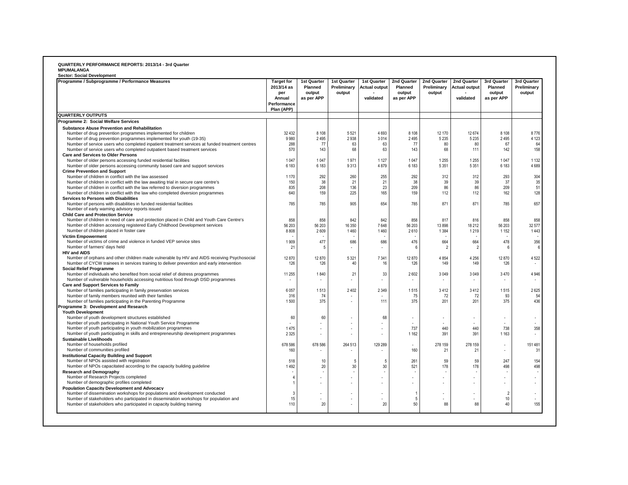| Programme / Subprogramme / Performance Measures                                                                                                | <b>Target for</b><br>2013/14 as<br>per<br>Annual<br>Performance<br>Plan (APP) | 1st Quarter<br>Planned<br>output<br>as per APP | 1st Quarter<br>Preliminary<br>output | 1st Quarter<br><b>Actual output</b><br>validated | 2nd Quarter<br>Planned<br>output<br>as per APP | 2nd Quarter<br>Preliminary<br>output | 2nd Quarter<br><b>Actual output</b><br>validated | 3rd Quarter<br>Planned<br>output<br>as per APP | 3rd Quarter<br>Preliminary<br>output |
|------------------------------------------------------------------------------------------------------------------------------------------------|-------------------------------------------------------------------------------|------------------------------------------------|--------------------------------------|--------------------------------------------------|------------------------------------------------|--------------------------------------|--------------------------------------------------|------------------------------------------------|--------------------------------------|
| <b>QUARTERLY OUTPUTS</b>                                                                                                                       |                                                                               |                                                |                                      |                                                  |                                                |                                      |                                                  |                                                |                                      |
| Programme 2: Social Welfare Services                                                                                                           |                                                                               |                                                |                                      |                                                  |                                                |                                      |                                                  |                                                |                                      |
| <b>Substance Abuse Prevention and Rehabilitation</b>                                                                                           |                                                                               |                                                |                                      |                                                  |                                                |                                      |                                                  |                                                |                                      |
| Number of drug prevention programmes implemented for children                                                                                  | 32 4 32                                                                       | 8 1 0 8                                        | 5 5 21                               | 4 6 9 3                                          | 8 1 0 8                                        | 12 170                               | 12674                                            | 8 1 0 8                                        | 8776                                 |
| Number of drug prevention programmes implemented for youth (19-35)                                                                             | 9980                                                                          | 2495                                           | 2938                                 | 3014                                             | 2495                                           | 5 2 3 5                              | 5 2 3 5                                          | 2495                                           | 4 1 2 3                              |
| Number of service users who completed inpatient treatment services at funded treatment centres                                                 | 288                                                                           | 77                                             | 63                                   | 63                                               | 77                                             | 80                                   | 80                                               | 67                                             | 64                                   |
| Number of service users who completed outpatient based treatment services                                                                      | 570                                                                           | 143                                            | 68                                   | 63                                               | 143                                            | 68                                   | 111                                              | 142                                            | 158                                  |
| Care and Services to Older Persons                                                                                                             |                                                                               |                                                | 1971                                 | 1 1 2 7                                          |                                                | 1 2 5 5                              | 1255                                             |                                                | 1 1 3 2                              |
| Number of older persons accessing funded residential facilities<br>Number of older persons accessing community based care and support services | 1047<br>6 1 8 3                                                               | 1 0 4 7<br>6 183                               | 9313                                 | 4879                                             | 1 0 4 7<br>6 183                               | 5 3 5 1                              | 5351                                             | 1 0 4 7<br>6 183                               | 4689                                 |
| <b>Crime Prevention and Support</b>                                                                                                            |                                                                               |                                                |                                      |                                                  |                                                |                                      |                                                  |                                                |                                      |
| Number of children in conflict with the law assessed                                                                                           | 1 1 7 0                                                                       | 292                                            | 260                                  | 255                                              | 292                                            | 312                                  | 312                                              | 293                                            | 304                                  |
| Number of children in conflict with the law awaiting trial in secure care centre's                                                             | 150                                                                           | 38                                             | 21                                   | 21                                               | 38                                             | 39                                   | 39                                               | 37                                             | 35                                   |
| Number of children in conflict with the law referred to diversion programmes                                                                   | 835                                                                           | 208                                            | 136                                  | 23                                               | 209                                            | 86                                   | 86                                               | 209                                            | 51                                   |
| Number of children in conflict with the law who completed diversion programmes                                                                 | 640                                                                           | 159                                            | 225                                  | 165                                              | 159                                            | 112                                  | 112                                              | 162                                            | 128                                  |
| Services to Persons with Disabilities                                                                                                          |                                                                               |                                                |                                      |                                                  |                                                |                                      |                                                  |                                                |                                      |
| Number of persons with disabilities in funded residential facilities                                                                           | 785                                                                           | 785                                            | 905                                  | 654                                              | 785                                            | 871                                  | 871                                              | 785                                            | 657                                  |
| Number of early warning advisory reports issued                                                                                                |                                                                               |                                                |                                      |                                                  |                                                |                                      |                                                  |                                                |                                      |
| <b>Child Care and Protection Service</b>                                                                                                       |                                                                               |                                                |                                      |                                                  |                                                |                                      |                                                  |                                                |                                      |
| Number of children in need of care and protection placed in Child and Youth Care Centre's                                                      | 858                                                                           | 858                                            | 842                                  | 842                                              | 858                                            | 817                                  | 816                                              | 858                                            | 858                                  |
| Number of children accessing registered Early Childhood Development services                                                                   | 56 203                                                                        | 56 203                                         | 16 350                               | 7648                                             | 56 203                                         | 13898                                | 18212                                            | 56 203                                         | 32 577                               |
| Number of children placed in foster care                                                                                                       | 8808                                                                          | 2609                                           | 1460                                 | 1460                                             | 2610                                           | 1 3 8 4                              | 1219                                             | 1 1 5 2                                        | 1443                                 |
| <b>Victim Empowerment</b>                                                                                                                      |                                                                               |                                                |                                      |                                                  |                                                |                                      |                                                  |                                                |                                      |
| Number of victims of crime and violence in funded VEP service sites                                                                            | 1909                                                                          | 477                                            | 686                                  | 686                                              | 476                                            | 664                                  | 664                                              | 478                                            | 356                                  |
| Number of farmers' days held<br><b>HIV and AIDS</b>                                                                                            | 21                                                                            | -5                                             |                                      |                                                  | 6                                              | $\overline{2}$                       | $\overline{2}$                                   | ĥ                                              |                                      |
| Number of orphans and other children made vulnerable by HIV and AIDS receiving Psychosocial                                                    | 12870                                                                         | 12 870                                         | 5 3 21                               | 7 3 4 1                                          | 12870                                          | 4 8 5 4                              | 4 2 5 6                                          | 12870                                          | 4522                                 |
| Number of CYCW trainees in services training to deliver prevention and early intervention                                                      | 126                                                                           | 126                                            | 40                                   | 16                                               | 126                                            | 149                                  | 149                                              | 126                                            | $\overline{\phantom{a}}$             |
| <b>Social Relief Programme</b>                                                                                                                 |                                                                               |                                                |                                      |                                                  |                                                |                                      |                                                  |                                                |                                      |
| Number of individuals who benefited from social relief of distress programmes                                                                  | 11 255                                                                        | 1840                                           | 21                                   | 33                                               | 2602                                           | 3049                                 | 3049                                             | 3 4 7 0                                        | 4 9 4 6                              |
| Number of vulnerable households accessing nutritious food through DSD programmes                                                               |                                                                               |                                                |                                      | $\overline{\phantom{a}}$                         |                                                |                                      |                                                  |                                                |                                      |
| <b>Care and Support Services to Family</b>                                                                                                     |                                                                               |                                                |                                      |                                                  |                                                |                                      |                                                  |                                                |                                      |
| Number of families participating in family preservation services                                                                               | 6057                                                                          | 1513                                           | 2 4 0 2                              | 2 3 4 9                                          | 1515                                           | 3412                                 | 3412                                             | 1515                                           | 2625                                 |
| Number of family members reunited with their families                                                                                          | 316                                                                           | -74                                            |                                      |                                                  | 75                                             | 72                                   | 72                                               | 93                                             | 54                                   |
| Number of families participating in the Parenting Programme                                                                                    | 1500                                                                          | 375                                            |                                      | 111                                              | 375                                            | 201                                  | 201                                              | 375                                            | 436                                  |
| Programme 3: Development and Research                                                                                                          |                                                                               |                                                |                                      |                                                  |                                                |                                      |                                                  |                                                |                                      |
| <b>Youth Development</b>                                                                                                                       |                                                                               |                                                |                                      |                                                  |                                                |                                      |                                                  |                                                |                                      |
| Number of youth development structures established                                                                                             | 60                                                                            | 60                                             |                                      | 68                                               |                                                |                                      |                                                  |                                                | $\overline{\phantom{a}}$             |
| Number of youth participating in National Youth Service Programme                                                                              |                                                                               |                                                |                                      | ٠                                                |                                                |                                      |                                                  |                                                |                                      |
| Number of youth participating in youth mobilization programmes                                                                                 | 1475                                                                          | ä,                                             |                                      |                                                  | 737                                            | 440                                  | 440                                              | 738                                            | 358                                  |
| Number of youth participating in skills and entrepreneurship development programmes<br><b>Sustainable Livelihoods</b>                          | 2 3 2 5                                                                       |                                                |                                      |                                                  | 1 1 6 2                                        | 391                                  | 391                                              | 1 1 6 3                                        |                                      |
| Number of households profiled                                                                                                                  | 678 586                                                                       | 678 586                                        | 264 513                              | 129 289                                          | $\overline{\phantom{a}}$                       | 278 159                              | 278 159                                          | $\overline{a}$                                 | 151 481                              |
| Number of communities profiled                                                                                                                 | 160                                                                           |                                                |                                      | $\overline{\phantom{a}}$                         | 160                                            | 21                                   | 21                                               | $\overline{\phantom{a}}$                       | 31                                   |
| <b>Institutional Capacity Building and Support</b>                                                                                             |                                                                               |                                                |                                      |                                                  |                                                |                                      |                                                  |                                                |                                      |
| Number of NPOs assisted with registration                                                                                                      | 518                                                                           | 10                                             | 5                                    | -5                                               | 261                                            | 59                                   | 59                                               | 247                                            | 154                                  |
| Number of NPOs capacitated according to the capacity building guideline                                                                        | 1492                                                                          | 20                                             | 30                                   | 30                                               | 521                                            | 178                                  | 178                                              | 498                                            | 498                                  |
| <b>Research and Demography</b>                                                                                                                 |                                                                               |                                                |                                      |                                                  |                                                |                                      |                                                  |                                                |                                      |
| Number of Research Projects completed                                                                                                          | $\overline{4}$                                                                | ٠                                              |                                      |                                                  | ÷.                                             |                                      |                                                  |                                                | ä,                                   |
| Number of demographic profiles completed                                                                                                       | $\overline{1}$                                                                |                                                |                                      |                                                  |                                                |                                      |                                                  |                                                |                                      |
| <b>Population Capacity Development and Advocacy</b>                                                                                            |                                                                               |                                                |                                      |                                                  |                                                |                                      |                                                  |                                                |                                      |
| Number of dissemination workshops for populations and development conducted                                                                    | 3                                                                             |                                                |                                      |                                                  | $\overline{1}$                                 |                                      |                                                  | $\overline{2}$                                 |                                      |
| Number of stakeholders who participated in dissemination workshops for population and                                                          | 15                                                                            |                                                |                                      | ÷                                                | 5                                              |                                      |                                                  | 10                                             | ÷.                                   |
| Number of stakeholders who participated in capacity building training                                                                          | 110                                                                           | 20                                             |                                      | 20                                               | 50                                             | 88                                   | 88                                               | 40                                             | 155                                  |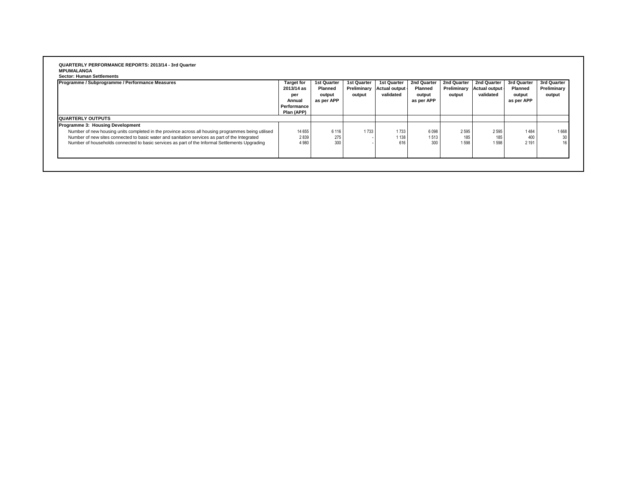#### **QUARTERLY PERFORMANCE REPORTS: 2013/14 - 3rd Quarter MPUMALANGA**

| Sector: Human Settlemen |  |  |
|-------------------------|--|--|
|                         |  |  |

| Programme / Subprogramme / Performance Measures                                                                                                                                                                                                                                                                                            | <b>Target for</b><br>2013/14 as<br>per<br>Annual<br>Performance<br>Plan (APP) | <b>1st Quarter</b><br>Planned<br>output<br>as per APP | <b>1st Quarter</b><br>Preliminary<br>output | 1st Quarter<br>Actual output<br>validated | 2nd Quarter<br>Planned<br>output<br>as per APP | 2nd Quarter<br>Preliminary<br>output | 2nd Quarter<br>Actual output<br>validated | 3rd Quarter<br><b>Planned</b><br>output<br>as per APP | 3rd Quarter<br>Preliminary<br>output |
|--------------------------------------------------------------------------------------------------------------------------------------------------------------------------------------------------------------------------------------------------------------------------------------------------------------------------------------------|-------------------------------------------------------------------------------|-------------------------------------------------------|---------------------------------------------|-------------------------------------------|------------------------------------------------|--------------------------------------|-------------------------------------------|-------------------------------------------------------|--------------------------------------|
| <b>QUARTERLY OUTPUTS</b>                                                                                                                                                                                                                                                                                                                   |                                                                               |                                                       |                                             |                                           |                                                |                                      |                                           |                                                       |                                      |
| Programme 3: Housing Development<br>Number of new housing units completed in the province across all housing programmes being utilised<br>Number of new sites connected to basic water and sanitation services as part of the Integrated<br>Number of households connected to basic services as part of the Informal Settlements Upgrading | 14 655<br>2839<br>4 9 8 0                                                     | 6 1 1 6<br>275<br>300                                 | 1733                                        | 1733<br>1 1 3 8<br>616                    | 6 0 9 8<br>1513<br>300                         | 2 5 9 5<br>185<br>1598               | 2595<br>185<br>1598                       | 1484<br>400<br>2 1 9 1                                | 1668<br>30                           |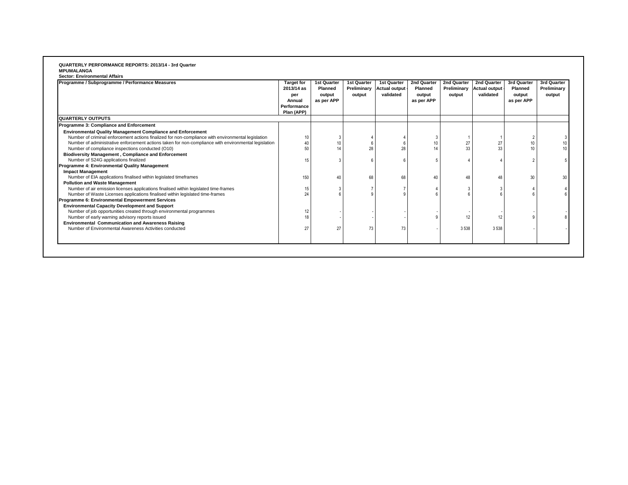#### **QUARTERLY PERFORMANCE REPORTS: 2013/14 - 3rd Quarter MPUMALANGA Sector: Environmental Affairs**

| Programme / Subprogramme / Performance Measures                                                      | <b>Target for</b><br>2013/14 as<br>per<br>Annual<br>Performance<br>Plan (APP) | 1st Quarter<br><b>Planned</b><br>output<br>as per APP | <b>1st Quarter</b><br>Preliminary<br>output | 1st Quarter<br><b>Actual output</b><br>validated | 2nd Quarter<br>Planned<br>output<br>as per APP | 2nd Quarter<br>Preliminary<br>output | 2nd Quarter<br><b>Actual output</b><br>validated | 3rd Quarter<br><b>Planned</b><br>output<br>as per APP | 3rd Quarter<br>Preliminary<br>output |
|------------------------------------------------------------------------------------------------------|-------------------------------------------------------------------------------|-------------------------------------------------------|---------------------------------------------|--------------------------------------------------|------------------------------------------------|--------------------------------------|--------------------------------------------------|-------------------------------------------------------|--------------------------------------|
| <b>QUARTERLY OUTPUTS</b>                                                                             |                                                                               |                                                       |                                             |                                                  |                                                |                                      |                                                  |                                                       |                                      |
| Programme 3: Compliance and Enforcement                                                              |                                                                               |                                                       |                                             |                                                  |                                                |                                      |                                                  |                                                       |                                      |
| <b>Environmental Quality Management Compliance and Enforcement</b>                                   |                                                                               |                                                       |                                             |                                                  |                                                |                                      |                                                  |                                                       |                                      |
| Number of criminal enforcement actions finalized for non-compliance with environmental legislation   | 10                                                                            |                                                       |                                             |                                                  |                                                |                                      |                                                  |                                                       |                                      |
| Number of administrative enforcement actions taken for non-compliance with environmental legislation | 40                                                                            | 10                                                    |                                             |                                                  | 10                                             | 27                                   | 27                                               | 10                                                    |                                      |
| Number of compliance inspections conducted (O10)                                                     | 50                                                                            | 14                                                    | 28                                          | 28                                               | 14                                             | 33                                   | 33                                               | 10                                                    |                                      |
| <b>Biodiversity Management, Compliance and Enforcement</b>                                           |                                                                               |                                                       |                                             |                                                  |                                                |                                      |                                                  |                                                       |                                      |
| Number of S24G applications finalized                                                                | 15                                                                            |                                                       |                                             |                                                  |                                                |                                      |                                                  |                                                       |                                      |
| Programme 4: Environmental Quality Management                                                        |                                                                               |                                                       |                                             |                                                  |                                                |                                      |                                                  |                                                       |                                      |
| <b>Impact Management</b>                                                                             |                                                                               |                                                       |                                             |                                                  |                                                |                                      |                                                  |                                                       |                                      |
| Number of EIA applications finalised within legislated timeframes                                    | 150                                                                           | 40                                                    | 68                                          | 68                                               | 40                                             | 48                                   |                                                  | 30                                                    | 30                                   |
| <b>Pollution and Waste Management</b>                                                                |                                                                               |                                                       |                                             |                                                  |                                                |                                      |                                                  |                                                       |                                      |
| Number of air emission licenses applications finalised within legislated time-frames                 | 15                                                                            |                                                       |                                             |                                                  |                                                |                                      |                                                  |                                                       |                                      |
| Number of Waste Licenses applications finalised within legislated time-frames                        | 24                                                                            |                                                       |                                             |                                                  |                                                |                                      |                                                  |                                                       |                                      |
| Programme 6: Environmental Empowerment Services                                                      |                                                                               |                                                       |                                             |                                                  |                                                |                                      |                                                  |                                                       |                                      |
| <b>Environmental Capacity Development and Support</b>                                                |                                                                               |                                                       |                                             |                                                  |                                                |                                      |                                                  |                                                       |                                      |
| Number of job opportunities created through environmental programmes                                 | 12                                                                            |                                                       |                                             |                                                  |                                                |                                      |                                                  |                                                       |                                      |
| Number of early warning advisory reports issued                                                      | 18                                                                            |                                                       |                                             |                                                  |                                                |                                      | 12                                               |                                                       |                                      |
| <b>Environmental Communication and Awareness Raising</b>                                             |                                                                               | 27                                                    |                                             |                                                  |                                                |                                      |                                                  |                                                       |                                      |
| Number of Environmental Awareness Activities conducted                                               | 27                                                                            |                                                       | 73                                          | 73                                               |                                                | 3 5 3 8                              | 3 5 3 8                                          |                                                       |                                      |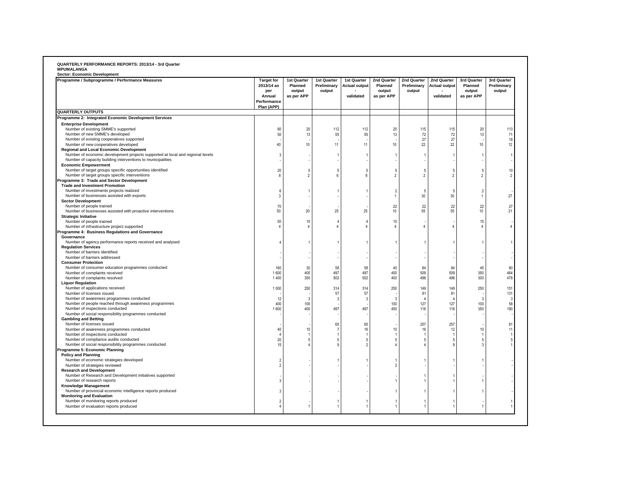| Sector: Economic Development                                                           |                                                                               |                                                |                                      |                                                  |                                                |                                      |                                                  |                                                |                                      |
|----------------------------------------------------------------------------------------|-------------------------------------------------------------------------------|------------------------------------------------|--------------------------------------|--------------------------------------------------|------------------------------------------------|--------------------------------------|--------------------------------------------------|------------------------------------------------|--------------------------------------|
| Programme / Subprogramme / Performance Measures                                        | <b>Target for</b><br>2013/14 as<br>per<br>Annual<br>Performance<br>Plan (APP) | 1st Quarter<br>Planned<br>output<br>as per APP | 1st Quarter<br>Preliminary<br>output | 1st Quarter<br><b>Actual output</b><br>validated | 2nd Quarter<br>Planned<br>output<br>as per APP | 2nd Quarter<br>Preliminary<br>output | 2nd Quarter<br><b>Actual output</b><br>validated | 3rd Quarter<br>Planned<br>output<br>as per APP | 3rd Quarter<br>Preliminary<br>output |
| <b>QUARTERLY OUTPUTS</b>                                                               |                                                                               |                                                |                                      |                                                  |                                                |                                      |                                                  |                                                |                                      |
| Programme 2: Integrated Economic Development Services                                  |                                                                               |                                                |                                      |                                                  |                                                |                                      |                                                  |                                                |                                      |
| <b>Enterprise Development</b>                                                          |                                                                               |                                                |                                      |                                                  |                                                |                                      |                                                  |                                                |                                      |
| Number of existing SMME's supported                                                    | 80                                                                            | 20                                             | 112                                  | 112                                              | 20                                             | 115                                  | 115                                              | 20                                             | 113                                  |
| Number of new SMME's developed                                                         | 50                                                                            | 13                                             | 55                                   | 55                                               | 13                                             | 72                                   | 72                                               | 13                                             | 71                                   |
| Number of existing cooperatives supported                                              | 40                                                                            |                                                | 11                                   | 11                                               |                                                | 27                                   | 27                                               | 10                                             | 18                                   |
| Number of new cooperatives developed<br><b>Regional and Local Economic Development</b> |                                                                               | 10                                             |                                      |                                                  | $10$                                           | 22                                   | 22                                               |                                                | 12                                   |
| Number of economic development projects supported at local and regional levels         | 3                                                                             |                                                |                                      | 1                                                | $\overline{1}$                                 |                                      |                                                  |                                                |                                      |
| Number of capacity building interventions to municipalities                            |                                                                               |                                                |                                      |                                                  |                                                |                                      |                                                  |                                                |                                      |
| <b>Economic Empowerment</b>                                                            |                                                                               |                                                |                                      |                                                  |                                                |                                      |                                                  |                                                |                                      |
| Number of target groups specific opportunities identified                              | 20                                                                            | 5                                              | 5                                    | 5                                                | 5                                              | -5                                   | 5                                                |                                                | 10                                   |
| Number of target groups specific interventions                                         | 8                                                                             | $\overline{\phantom{a}}$                       | $\mathsf{f}$                         | 6                                                | $\overline{2}$                                 | $\overline{\phantom{a}}$             | $\overline{\phantom{a}}$                         | 2                                              | 2                                    |
| Programme 3: Trade and Sector Development                                              |                                                                               |                                                |                                      |                                                  |                                                |                                      |                                                  |                                                |                                      |
| <b>Trade and Investment Promotion</b>                                                  |                                                                               |                                                |                                      |                                                  |                                                |                                      |                                                  |                                                |                                      |
| Number of investments projects realized                                                | 6                                                                             |                                                |                                      |                                                  | $\overline{2}$                                 | -5                                   | 5                                                | $\overline{\phantom{a}}$                       |                                      |
| Number of businesses assisted with exports                                             | 3                                                                             |                                                |                                      |                                                  | $\mathbf{1}$                                   | 30                                   | 30                                               | $\overline{1}$                                 | 27                                   |
| <b>Sector Development</b>                                                              |                                                                               |                                                |                                      |                                                  | 22                                             | 22                                   | 22                                               | 22                                             |                                      |
| Number of people trained<br>Number of businesses assisted with proactive interventions | 70<br>50                                                                      | 20                                             | 25                                   | 25                                               | 10                                             | 55                                   | 55                                               | 10                                             | 27<br>21                             |
| <b>Strategic Initiative</b>                                                            |                                                                               |                                                |                                      |                                                  |                                                |                                      |                                                  |                                                |                                      |
| Number of people trained                                                               | 50                                                                            | $10$                                           |                                      | 4                                                | $10$                                           |                                      |                                                  | 15                                             |                                      |
| Number of infrastructure project supported                                             | $\overline{A}$                                                                | $\overline{a}$                                 |                                      | 4                                                | $\overline{4}$                                 | $\Delta$                             |                                                  | $\mathbf{A}$                                   |                                      |
| Programme 4: Business Regulations and Governance                                       |                                                                               |                                                |                                      |                                                  |                                                |                                      |                                                  |                                                |                                      |
| Governance                                                                             |                                                                               |                                                |                                      |                                                  |                                                |                                      |                                                  |                                                |                                      |
| Number of agency performance reports received and analysed                             | $\Delta$                                                                      |                                                |                                      | 1                                                | $\overline{1}$                                 |                                      |                                                  |                                                |                                      |
| <b>Regulation Services</b>                                                             |                                                                               |                                                |                                      |                                                  |                                                |                                      |                                                  |                                                |                                      |
| Number of barriers identified                                                          |                                                                               |                                                |                                      |                                                  |                                                |                                      |                                                  |                                                |                                      |
| Number of barriers addressed                                                           |                                                                               |                                                |                                      |                                                  |                                                |                                      |                                                  |                                                |                                      |
| <b>Consumer Protection</b>                                                             |                                                                               | 30                                             | 58                                   |                                                  | 40                                             |                                      | 84                                               |                                                |                                      |
| Number of consumer education programmes conducted<br>Number of complaints received     | 160<br>1600                                                                   | 400                                            | 497                                  | 58<br>497                                        | 450                                            | 84<br>509                            | 509                                              | 45<br>350                                      | 80<br>464                            |
| Number of complaints resolved                                                          | 1400                                                                          | 350                                            | 502                                  | 502                                              | 400                                            | 496                                  | 496                                              | 300                                            | 478                                  |
| <b>Liquor Regulation</b>                                                               |                                                                               |                                                |                                      |                                                  |                                                |                                      |                                                  |                                                |                                      |
| Number of applications received                                                        | 1 0 0 0                                                                       | 250                                            | 314                                  | 314                                              | 250                                            | 149                                  | 149                                              | 250                                            | 151                                  |
| Number of licenses issued                                                              |                                                                               |                                                | 57                                   | 57                                               |                                                | 81                                   | 81                                               |                                                | 131                                  |
| Number of awareness programmes conducted                                               | 12                                                                            | -3                                             | 3                                    | 3                                                | 3                                              |                                      | $\overline{\mathbf{r}}$                          | 3                                              |                                      |
| Number of people reached through awareness programmes                                  | 400                                                                           | 100                                            |                                      |                                                  | 100                                            | 127                                  | 127                                              | 100                                            | 58                                   |
| Number of inspections conducted                                                        | 1600                                                                          | 400                                            | 497                                  | 497                                              | 450                                            | 116                                  | 116                                              | 350                                            | 190                                  |
| Number of social responsibility programmes conducted                                   |                                                                               |                                                |                                      |                                                  |                                                |                                      |                                                  |                                                |                                      |
| <b>Gambling and Betting</b><br>Number of licenses issued                               |                                                                               |                                                | 65                                   | 65                                               |                                                | 257                                  | 257                                              |                                                | 61                                   |
| Number of awareness programmes conducted                                               | 40                                                                            | 10                                             |                                      | 16                                               | 10                                             | 16                                   | 12                                               | 10                                             | $\ddot{\phantom{1}}$                 |
| Number of inspections conducted                                                        | $\overline{4}$                                                                |                                                |                                      | 1                                                | $\overline{1}$                                 |                                      |                                                  |                                                |                                      |
| Number of compliance audits conducted                                                  | 20                                                                            | 5                                              | 5                                    | 5                                                | 5                                              | 5                                    | 5                                                |                                                |                                      |
| Number of social responsibility programmes conducted                                   | 15                                                                            |                                                | $\mathbf{Q}$                         | $\overline{2}$                                   | $\overline{4}$                                 |                                      | Я                                                |                                                |                                      |
| Programme 5: Economic Planning                                                         |                                                                               |                                                |                                      |                                                  |                                                |                                      |                                                  |                                                |                                      |
| <b>Policy and Planning</b>                                                             |                                                                               |                                                |                                      |                                                  |                                                |                                      |                                                  |                                                |                                      |
| Number of economic strategies developed                                                | 2                                                                             |                                                |                                      |                                                  | -1                                             |                                      |                                                  |                                                |                                      |
| Number of strategies reviewed                                                          | $\overline{\phantom{a}}$                                                      |                                                |                                      |                                                  | $\overline{2}$                                 |                                      |                                                  |                                                |                                      |
| <b>Research and Development</b>                                                        |                                                                               |                                                |                                      |                                                  |                                                |                                      |                                                  |                                                |                                      |
| Number of Research and Development initiatives supported<br>Number of research reports | 3                                                                             |                                                |                                      |                                                  |                                                |                                      |                                                  |                                                |                                      |
| Knowledge Management                                                                   |                                                                               |                                                |                                      |                                                  | -1                                             |                                      |                                                  |                                                |                                      |
| Number of provincial economic intelligence reports produced                            | 3                                                                             |                                                |                                      |                                                  | $\overline{1}$                                 |                                      |                                                  |                                                |                                      |
| <b>Monitoring and Evaluation</b>                                                       |                                                                               |                                                |                                      |                                                  |                                                |                                      |                                                  |                                                |                                      |
| Number of monitoring reports produced                                                  | $\overline{2}$                                                                |                                                |                                      |                                                  | $\overline{1}$                                 |                                      |                                                  |                                                |                                      |
| Number of evaluation reports produced                                                  |                                                                               |                                                |                                      |                                                  |                                                |                                      |                                                  |                                                |                                      |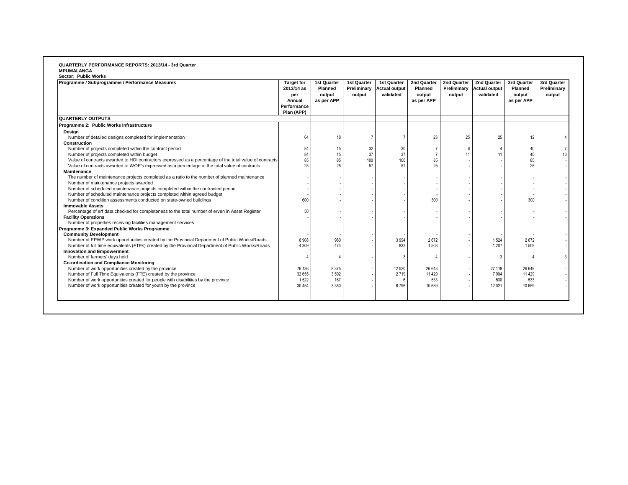### **QUARTERLY PERFORMANCE REPORTS: 2013/14 - 3rd Quarter**

| Programme / Subprogramme / Performance Measures                                                         | <b>Target for</b><br>2013/14 as<br>per<br>Annual<br>Performance<br>Plan (APP) | <b>1st Quarter</b><br><b>Planned</b><br>output<br>as per APP | 1st Quarter<br>output | 1st Quarter<br>Preliminary Actual output<br>validated | 2nd Quarter<br>Planned<br>output<br>as per APP | 2nd Quarter<br>Preliminary<br>output | 2nd Quarter<br><b>Actual output</b><br>validated | 3rd Quarter<br>Planned<br>output<br>as per APP | 3rd Quarter<br>Preliminary<br>output |
|---------------------------------------------------------------------------------------------------------|-------------------------------------------------------------------------------|--------------------------------------------------------------|-----------------------|-------------------------------------------------------|------------------------------------------------|--------------------------------------|--------------------------------------------------|------------------------------------------------|--------------------------------------|
| <b>QUARTERLY OUTPUTS</b>                                                                                |                                                                               |                                                              |                       |                                                       |                                                |                                      |                                                  |                                                |                                      |
| Programme 2: Public Works Infrastructure                                                                |                                                                               |                                                              |                       |                                                       |                                                |                                      |                                                  |                                                |                                      |
| Design                                                                                                  |                                                                               |                                                              |                       |                                                       |                                                |                                      |                                                  |                                                |                                      |
| Number of detailed designs completed for implementation                                                 | 64                                                                            | 18                                                           |                       | $\overline{7}$                                        | 23                                             | 25                                   | 25                                               | 12                                             |                                      |
| Construction                                                                                            |                                                                               |                                                              |                       |                                                       |                                                |                                      |                                                  |                                                |                                      |
| Number of projects completed within the contract period                                                 | 84                                                                            | 15                                                           | 32                    | 30                                                    | $\overline{7}$                                 | 6                                    |                                                  | 40                                             |                                      |
| Number of projects completed within budget                                                              | 84                                                                            | 15                                                           | 37                    | 37                                                    | $\overline{7}$                                 | 11                                   | 11                                               | 40                                             |                                      |
| Value of contracts awarded to HDI contractors expressed as a percentage of the total value of contracts | 85                                                                            | 85                                                           | 100                   | 100                                                   | 85                                             |                                      |                                                  | 85                                             |                                      |
| Value of contracts awarded to WOE's expressed as a percentage of the total value of contracts           | 25                                                                            | 25                                                           | 57                    | 57                                                    | 25                                             |                                      |                                                  | 25                                             |                                      |
| <b>Maintenance</b>                                                                                      |                                                                               |                                                              |                       |                                                       |                                                |                                      |                                                  |                                                |                                      |
| The number of maintenance projects completed as a ratio to the number of planned maintenance            |                                                                               |                                                              |                       |                                                       |                                                |                                      |                                                  |                                                |                                      |
| Number of maintenance projects awarded                                                                  |                                                                               |                                                              |                       |                                                       |                                                |                                      |                                                  |                                                |                                      |
| Number of scheduled maintenance projects completed within the contracted period                         |                                                                               |                                                              |                       |                                                       |                                                |                                      |                                                  |                                                |                                      |
| Number of scheduled maintenance projects completed within agreed budget                                 |                                                                               |                                                              |                       |                                                       |                                                |                                      |                                                  |                                                |                                      |
| Number of condition assessments conducted on state-owned buildings                                      | 600                                                                           |                                                              |                       |                                                       | 300                                            |                                      |                                                  | 300                                            |                                      |
| <b>Immovable Assets</b>                                                                                 |                                                                               |                                                              |                       |                                                       |                                                |                                      |                                                  |                                                |                                      |
| Percentage of erf data checked for completeness to the total number of erven in Asset Register          | 50                                                                            |                                                              |                       |                                                       |                                                |                                      |                                                  |                                                |                                      |
| <b>Facility Operations</b>                                                                              |                                                                               |                                                              |                       |                                                       |                                                |                                      |                                                  |                                                |                                      |
| Number of properties receiving facilities management services                                           |                                                                               |                                                              |                       |                                                       |                                                |                                      |                                                  |                                                |                                      |
| Programme 3: Expanded Public Works Programme                                                            |                                                                               |                                                              |                       |                                                       |                                                |                                      |                                                  |                                                |                                      |
| <b>Community Development</b>                                                                            |                                                                               |                                                              |                       |                                                       |                                                |                                      |                                                  |                                                |                                      |
| Number of EPWP work opportunities created by the Provincial Department of Public Works/Roads            | 8 9 0 8                                                                       | 980                                                          |                       | 3994                                                  | 2672                                           |                                      | 1524                                             | 2672                                           |                                      |
| Number of full time equivalents (FTEs) created by the Provincial Department of Public Works/Roads       | 4 3 0 9                                                                       | 474                                                          |                       | 833                                                   | 1508                                           |                                      | 1 2 0 7                                          | 1508                                           |                                      |
| <b>Innovation and Empowerment</b>                                                                       |                                                                               |                                                              |                       |                                                       |                                                |                                      |                                                  |                                                |                                      |
| Number of farmers' days held                                                                            |                                                                               | 4                                                            |                       | 3                                                     | 4                                              |                                      |                                                  |                                                |                                      |
| <b>Co-ordination and Compliance Monitoring</b>                                                          |                                                                               |                                                              |                       |                                                       |                                                |                                      |                                                  |                                                |                                      |
| Number of work opportunities created by the province                                                    | 76 136                                                                        | 8375                                                         |                       | 12 5 20                                               | 26 648                                         |                                      | 27 118                                           | 26 648                                         |                                      |
| Number of Full Time Equivalents (FTE) created by the province                                           | 32 655                                                                        | 3592                                                         |                       | 2719                                                  | 11 4 29                                        |                                      | 7904                                             | 11 4 29                                        |                                      |
| Number of work opportunities created for people with disabilities by the province                       | 1522                                                                          | 167                                                          |                       | 6                                                     | 533                                            |                                      | 530                                              | 533                                            |                                      |
| Number of work opportunities created for youth by the province                                          | 30 454                                                                        | 3 3 5 0                                                      |                       | 6796                                                  | 10 659                                         |                                      | 12 0 21                                          | 10 659                                         |                                      |
|                                                                                                         |                                                                               |                                                              |                       |                                                       |                                                |                                      |                                                  |                                                |                                      |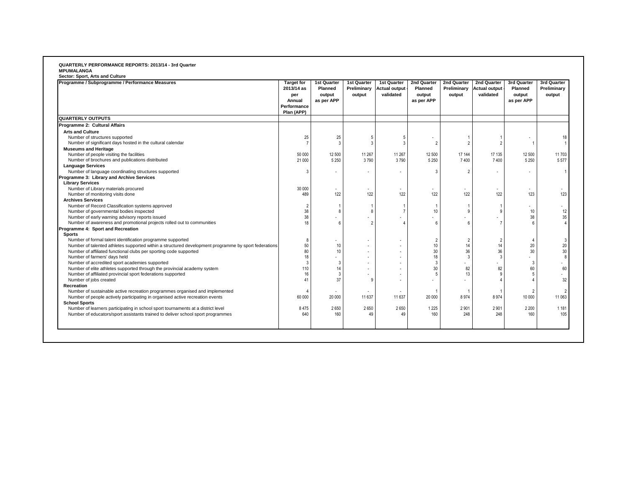#### **QUARTERLY PERFORMANCE REPORTS: 2013/14 - 3rd Quarter MPUMALANGA**

|                                                                                                      | per<br>Annual<br>Performance<br>Plan (APP) | <b>Planned</b><br>output<br>as per APP | Preliminary<br>output | <b>Actual output</b><br>validated | <b>Planned</b><br>output<br>as per APP | Preliminary<br>output | Actual output<br>validated | <b>Planned</b><br>output<br>as per APP | Preliminary<br>output |
|------------------------------------------------------------------------------------------------------|--------------------------------------------|----------------------------------------|-----------------------|-----------------------------------|----------------------------------------|-----------------------|----------------------------|----------------------------------------|-----------------------|
| <b>QUARTERLY OUTPUTS</b>                                                                             |                                            |                                        |                       |                                   |                                        |                       |                            |                                        |                       |
| Programme 2: Cultural Affairs                                                                        |                                            |                                        |                       |                                   |                                        |                       |                            |                                        |                       |
| <b>Arts and Culture</b>                                                                              |                                            |                                        |                       |                                   |                                        |                       |                            |                                        |                       |
| Number of structures supported                                                                       | 25                                         | 25                                     |                       |                                   |                                        |                       |                            |                                        | 18                    |
| Number of significant days hosted in the cultural calendar                                           | $\overline{7}$                             | -3                                     | я                     | $\mathcal{R}$                     | $\overline{2}$                         | $\overline{2}$        | $\overline{2}$             |                                        |                       |
| <b>Museums and Heritage</b>                                                                          |                                            |                                        |                       |                                   |                                        |                       |                            |                                        |                       |
| Number of people visiting the facilities                                                             | 50 000                                     | 12 500                                 | 11 267                | 11 267                            | 12 500                                 | 17 144                | 17 135                     | 12 500                                 | 11 703                |
| Number of brochures and publications distributed                                                     | 21 000                                     | 5 2 5 0                                | 3790                  | 3790                              | 5 2 5 0                                | 7400                  | 7400                       | 5 2 5 0                                | 5 5 7 7               |
| <b>Language Services</b>                                                                             |                                            |                                        |                       |                                   |                                        |                       |                            |                                        |                       |
| Number of language coordinating structures supported                                                 | 3                                          | ٠                                      |                       |                                   | 3                                      | $\overline{2}$        |                            |                                        |                       |
| Programme 3: Library and Archive Services                                                            |                                            |                                        |                       |                                   |                                        |                       |                            |                                        |                       |
| <b>Library Services</b>                                                                              |                                            |                                        |                       |                                   |                                        |                       |                            |                                        |                       |
| Number of Library materials procured                                                                 | 30 000                                     | ÷.                                     |                       | ٠                                 |                                        |                       |                            |                                        |                       |
| Number of monitoring visits done                                                                     | 489                                        | 122                                    | 122                   | 122                               | 122                                    | 122                   | 122                        | 123                                    | 123                   |
| <b>Archives Services</b>                                                                             |                                            |                                        |                       |                                   |                                        |                       |                            |                                        |                       |
| Number of Record Classification systems approved                                                     | $\overline{2}$                             |                                        |                       |                                   | $\mathbf{1}$                           |                       |                            |                                        | ٠                     |
| Number of governmental bodies inspected                                                              | 38                                         | 8                                      | Я                     |                                   | 10                                     | 9                     | 9                          | 10                                     | 12                    |
| Number of early warning advisory reports issued                                                      | 38                                         | ÷.                                     |                       |                                   |                                        |                       |                            | 38                                     | 35                    |
| Number of awareness and promotional projects rolled out to communities                               | 18                                         | 6                                      | 2                     |                                   | 6                                      | 6                     |                            |                                        |                       |
| Programme 4: Sport and Recreation                                                                    |                                            |                                        |                       |                                   |                                        |                       |                            |                                        |                       |
| <b>Sports</b>                                                                                        |                                            |                                        |                       |                                   |                                        |                       |                            |                                        |                       |
| Number of formal talent identification programme supported                                           | 8                                          | ۰                                      |                       | ٠                                 | $\overline{2}$                         | $\overline{2}$        | $\overline{2}$             |                                        | 3                     |
| Number of talented athletes supported within a structured development programme by sport federations | 50                                         | 10                                     |                       |                                   | 10                                     | 14                    | 14                         | 20                                     | $20\,$                |
| Number of affiliated functional clubs per sporting code supported                                    | 80                                         | 10                                     |                       |                                   | 30                                     | 36                    | 36                         | 30                                     | 30                    |
| Number of farmers' days held                                                                         | 18                                         | ٠                                      |                       | ÷.                                | 18                                     | $\overline{3}$        | $\mathbf{3}$               | ÷.                                     |                       |
| Number of accredited sport academies supported                                                       | 3                                          | 3                                      |                       |                                   | 3                                      |                       |                            | 3                                      | ٠                     |
| Number of elite athletes supported through the provincial academy system                             | 110                                        | 14                                     |                       |                                   | 30                                     | 82                    | 82                         | 60                                     | 60                    |
| Number of affiliated provincial sport federations supported                                          | 16                                         | 3                                      |                       |                                   | 5                                      | 13                    | <b>q</b>                   | 5                                      | ٠                     |
| Number of jobs created                                                                               | 41                                         | 37                                     | g                     |                                   |                                        |                       |                            |                                        | 32                    |
| Recreation                                                                                           |                                            |                                        |                       |                                   |                                        |                       |                            |                                        |                       |
| Number of sustainable active recreation programmes organised and implemented                         | $\overline{4}$                             |                                        |                       |                                   | 1                                      |                       |                            | 2                                      |                       |
|                                                                                                      |                                            | ٠                                      |                       | $\sim$                            |                                        |                       |                            |                                        |                       |
| Number of people actively participating in organised active recreation events                        | 60 000                                     | 20 000                                 | 11 637                | 11 637                            | 20 000                                 | 8974                  | 8974                       | 10 000                                 | 11 063                |
| <b>School Sports</b>                                                                                 |                                            |                                        |                       |                                   |                                        |                       |                            |                                        |                       |
| Number of learners participating in school sport tournaments at a district level                     | 8 4 7 5                                    | 2650                                   | 2650                  | 2650                              | 1 2 2 5                                | 2901                  | 2 9 0 1                    | 2 2 0 0                                | 1 1 8 1               |
| Number of educators/sport assistants trained to deliver school sport programmes                      | 640                                        | 160                                    | 49                    | 49                                | 160                                    | 248                   | 248                        | 160                                    | 105                   |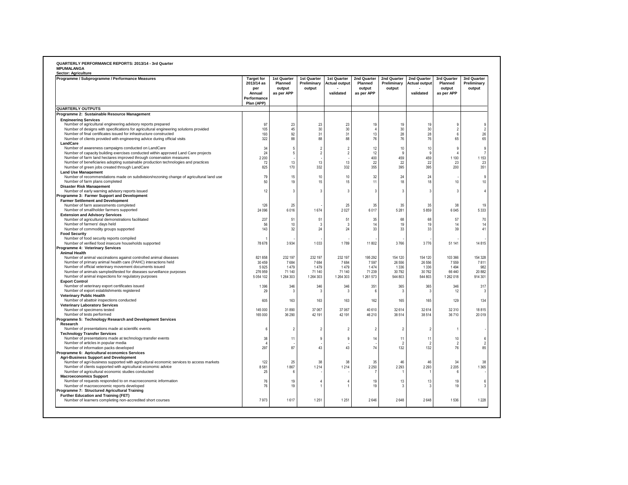| Sector: Agriculture                                                                                                                                                                                                                                                                                                                                     |                                                                               |                                                |                                               |                                                  |                                                |                                      |                                                  |                                                      |                                             |
|---------------------------------------------------------------------------------------------------------------------------------------------------------------------------------------------------------------------------------------------------------------------------------------------------------------------------------------------------------|-------------------------------------------------------------------------------|------------------------------------------------|-----------------------------------------------|--------------------------------------------------|------------------------------------------------|--------------------------------------|--------------------------------------------------|------------------------------------------------------|---------------------------------------------|
| Programme / Subprogramme / Performance Measures                                                                                                                                                                                                                                                                                                         | <b>Target for</b><br>2013/14 as<br>per<br>Annual<br>Performance<br>Plan (APP) | 1st Quarter<br>Planned<br>output<br>as per APP | 1st Quarter<br>Preliminary<br>output          | 1st Quarter<br><b>Actual output</b><br>validated | 2nd Quarter<br>Planned<br>output<br>as per APP | 2nd Quarter<br>Preliminary<br>output | 2nd Quarter<br><b>Actual output</b><br>validated | 3rd Quarter<br>Planned<br>output<br>as per APP       | 3rd Quarter<br>Preliminary<br>output        |
| <b>QUARTERLY OUTPUTS</b>                                                                                                                                                                                                                                                                                                                                |                                                                               |                                                |                                               |                                                  |                                                |                                      |                                                  |                                                      |                                             |
| Programme 2: Sustainable Resource Management                                                                                                                                                                                                                                                                                                            |                                                                               |                                                |                                               |                                                  |                                                |                                      |                                                  |                                                      |                                             |
| <b>Engineering Services</b><br>Number of agricultural engineering advisory reports prepared<br>Number of designs with specifications for agricultural engineering solutions provided<br>Number of final certificates issued for infrastructure constructed<br>Number of clients provided with engineering advice during official visits                 | 97<br>105<br>193<br>322                                                       | 23<br>45<br>92<br>88                           | 23<br>30<br>31<br>88                          | 23<br>30<br>31<br>88                             | 19<br>$\mathbf{A}$<br>13<br>76                 | 19<br>30<br>28<br>76                 | 19<br>30<br>28<br>76                             | 9<br>$\overline{2}$<br>$\boldsymbol{6}$<br>65        | $\overline{2}$<br>26<br>65                  |
| LandCare                                                                                                                                                                                                                                                                                                                                                |                                                                               |                                                |                                               |                                                  |                                                |                                      |                                                  |                                                      |                                             |
| Number of awareness campaigns conducted on LandCare<br>Number of capacity building exercises conducted within approved Land Care projects<br>Number of farm land hectares improved through conservation measures<br>Number of beneficiaries adopting sustainable production technologies and practices<br>Number of green jobs created through LandCare | 34<br>24<br>2 2 0 0<br>72<br>825                                              | $\overline{5}$<br>$\overline{5}$<br>13<br>170  | $\overline{2}$<br>$\overline{2}$<br>13<br>332 | $\overline{2}$<br>$\overline{2}$<br>13<br>332    | 12<br>12<br>400<br>22<br>355                   | $10$<br>9<br>459<br>22<br>395        | 10<br>q<br>459<br>22<br>395                      | $\boldsymbol{9}$<br>$\Delta$<br>1 1 0 0<br>23<br>200 | 9<br>$\overline{7}$<br>1 1 5 3<br>23<br>351 |
| <b>Land Use Management</b><br>Number of recommendations made on subdivision/rezoning change of agricultural land use<br>Number of farm plans completed                                                                                                                                                                                                  | 79<br>50                                                                      | 15<br>19                                       | 10<br>15                                      | 10<br>15                                         | 32<br>11                                       | 24<br>18                             | 24<br>18                                         | 10                                                   | 9<br>10                                     |
| <b>Disaster Risk Management</b><br>Number of early warning advisory reports issued<br>Programme 3: Farmer Support and Development                                                                                                                                                                                                                       | 12                                                                            | 3                                              | $\mathbf{3}$                                  | $\overline{3}$                                   | $\overline{3}$                                 | $\mathbf{3}$                         | $\mathbf{3}$                                     | 3                                                    |                                             |
| <b>Farmer Settlement and Development</b><br>Number of farm assessments completed<br>Number of smallholder farmers supported<br><b>Extension and Advisory Services</b>                                                                                                                                                                                   | 126<br>24 096                                                                 | 25<br>6016                                     | 1674                                          | 25<br>2027                                       | 35<br>6017                                     | 35<br>5 2 8 1                        | 35<br>5859                                       | 38<br>6045                                           | 19<br>5 3 3 3                               |
| Number of agricultural demonstrations facilitated<br>Number of farmers' days held<br>Number of commodity groups supported                                                                                                                                                                                                                               | 237<br>56<br>143                                                              | 51<br>10<br>32                                 | 51<br>$\mathbf{3}$<br>24                      | 51<br>3<br>24                                    | 35<br>14<br>33                                 | 68<br>19<br>33                       | 68<br>19<br>33                                   | 57<br>14<br>39                                       | 70<br>14<br>41                              |
| <b>Food Security</b><br>Number of food security reports compiled<br>Number of verified food insecure households supported                                                                                                                                                                                                                               | 78 678                                                                        | 3934                                           | 1033                                          | 1789                                             | 11 802                                         | 3766                                 | 3776                                             | 51 141                                               | 14 8 15                                     |
| Programme 4: Veterinary Services<br><b>Animal Health</b><br>Number of animal vaccinations against controlled animal diseases                                                                                                                                                                                                                            | 821 858                                                                       | 232 197                                        | 232 197                                       | 232 197                                          | 195 292                                        | 154 120                              | 154 120                                          | 103 366                                              | 154 328                                     |
| Number of primary animal health care (PAHC) interactions held<br>Number of official veterinary movement documents issued<br>Number of animals sampled/tested for diseases surveillance purposes<br>Number of animal inspections for regulatory purposes                                                                                                 | 30 459<br>5925<br>276 959<br>5 0 5 4 1 0 2                                    | 7684<br>1479<br>71 140<br>1 264 303            | 7684<br>1479<br>71 140<br>1 264 303           | 7684<br>1479<br>71 140<br>1 264 303              | 7597<br>1474<br>71 239<br>1 261 573            | 26 556<br>1336<br>30792<br>544 803   | 26 556<br>1 3 3 6<br>30 762<br>544 803           | 7559<br>1494<br>66440<br>1 262 018                   | 7811<br>982<br>20 882<br>914 301            |
| <b>Export Control</b><br>Number of veterinary export certificates issued<br>Number of export establishments registered                                                                                                                                                                                                                                  | 1 3 9 6<br>29                                                                 | 346<br>-3                                      | 346<br>$\mathbf{3}$                           | 346<br>$\mathbf{3}$                              | 351<br>- 6                                     | 365<br>$\mathbf{3}$                  | 365<br>-3                                        | 346<br>12                                            | 317                                         |
| <b>Veterinary Public Health</b><br>Number of abattoir inspections conducted<br><b>Veterinary Laboratory Services</b>                                                                                                                                                                                                                                    | 605                                                                           | 163                                            | 163                                           | 163                                              | 162                                            | 165                                  | 165                                              | 129                                                  | 134                                         |
| Number of specimens tested<br>Number of tests performed<br>Programme 5: Technology Research and Development Services                                                                                                                                                                                                                                    | 145 000<br>165 000                                                            | 31890<br>36 290                                | 37 067<br>42 191                              | 37 067<br>42 191                                 | 40 610<br>46 210                               | 32614<br>38514                       | 32 614<br>38 514                                 | 32 310<br>36710                                      | 18815<br>20 019                             |
| Research<br>Number of presentations made at scientific events<br><b>Technology Transfer Services</b>                                                                                                                                                                                                                                                    | $\hat{h}$                                                                     | $\mathfrak{p}$                                 | $\overline{2}$                                | $\overline{\phantom{a}}$                         | $\overline{2}$                                 | $\mathfrak{p}$                       | $\mathcal{P}$                                    | $\overline{1}$                                       |                                             |
| Number of presentations made at technology transfer events<br>Number of articles in popular media<br>Number of information packs developed                                                                                                                                                                                                              | 38<br>$\boldsymbol{\Lambda}$<br>297                                           | 11<br>87                                       | 9<br>43                                       | $\overline{9}$<br>43                             | 14<br>74                                       | 11<br>$\mathfrak{D}$<br>132          | 11<br>-2<br>132                                  | 10<br>$\mathcal{P}$<br>76                            | 6<br>$\overline{2}$<br>85                   |
| Programme 6: Agricultural economics Services<br><b>Agri-Business Support and Development</b><br>Number of agri-business supported with agricultural economic services to access markets                                                                                                                                                                 | 122                                                                           | 25                                             | 38                                            | 38                                               | 35                                             | 46                                   | 46                                               | 34                                                   | 38                                          |
| Number of clients supported with agricultural economic advice<br>Number of agricultural economic studies conducted<br><b>Macroeconomics Support</b>                                                                                                                                                                                                     | 8581<br>25                                                                    | 1867<br>6                                      | 1 2 1 4                                       | 1214                                             | 2 2 5 0                                        | 2 2 9 3                              | 2 2 9 3                                          | 2 2 0 5<br>6                                         | 1 3 6 5                                     |
| Number of requests responded to on macroeconomic information<br>Number of macroeconomic reports developed<br>Programme 7: Structured Agricultural Training                                                                                                                                                                                              | 76<br>76                                                                      | 19<br>19                                       | $\Delta$                                      | 4                                                | 19<br>19                                       | 13<br>3                              | 13                                               | 19<br>19                                             | 6<br>$\mathcal{R}$                          |
| <b>Further Education and Training (FET)</b><br>Number of learners completing non-accredited short courses                                                                                                                                                                                                                                               | 7973                                                                          | 1617                                           | 1 2 5 1                                       | 1251                                             | 2646                                           | 2648                                 | 2648                                             | 1536                                                 | 1 2 2 8                                     |